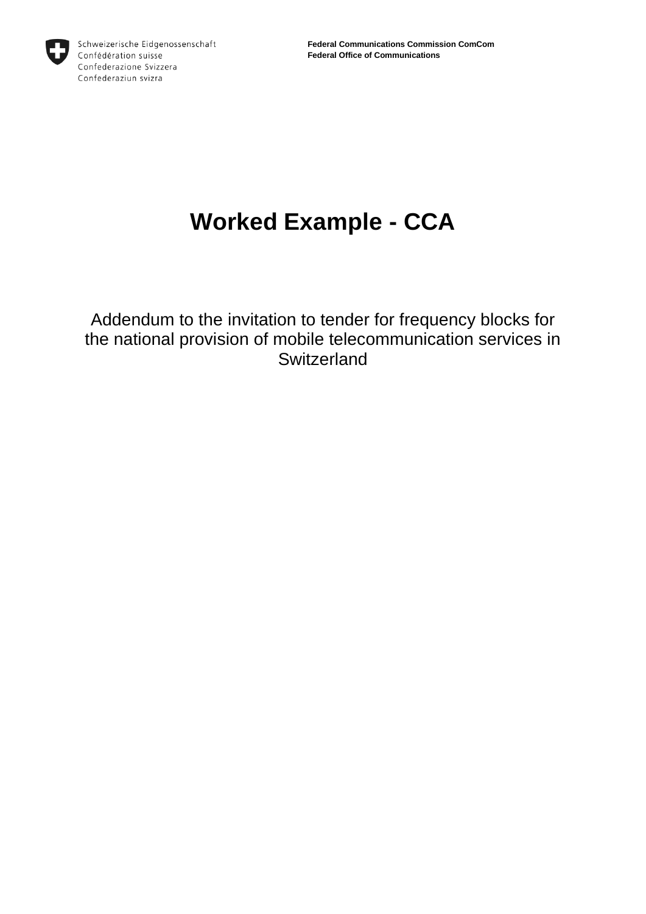

# **Worked Example - CCA**

Addendum to the invitation to tender for frequency blocks for the national provision of mobile telecommunication services in **Switzerland**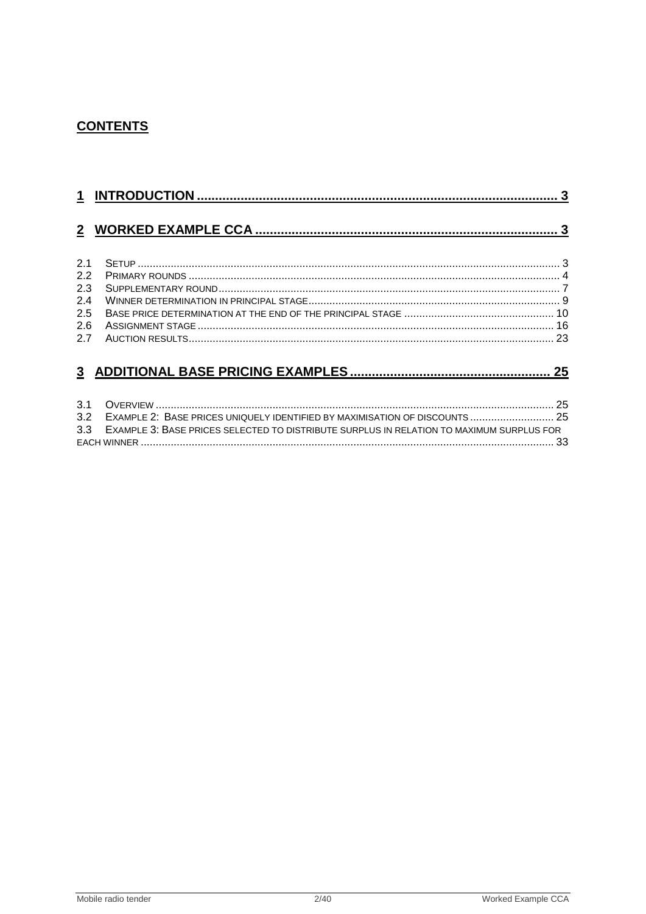# **CONTENTS**

| 21           |  |
|--------------|--|
| 2.2          |  |
| 2.3          |  |
| 2.4          |  |
| 2.5          |  |
| 2.6          |  |
| 27           |  |
|              |  |
| $\mathbf{3}$ |  |

| 3.2 EXAMPLE 2: BASE PRICES UNIQUELY IDENTIFIED BY MAXIMISATION OF DISCOUNTS  25              |  |
|----------------------------------------------------------------------------------------------|--|
| 3.3 EXAMPLE 3: BASE PRICES SELECTED TO DISTRIBUTE SURPLUS IN RELATION TO MAXIMUM SURPLUS FOR |  |
|                                                                                              |  |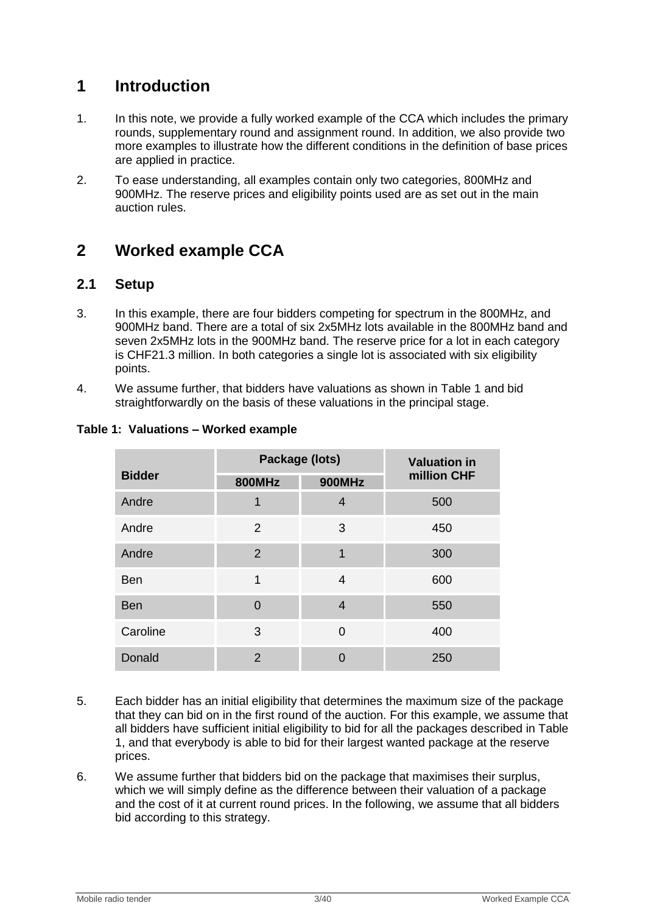# <span id="page-2-0"></span>**1 Introduction**

- 1. In this note, we provide a fully worked example of the CCA which includes the primary rounds, supplementary round and assignment round. In addition, we also provide two more examples to illustrate how the different conditions in the definition of base prices are applied in practice.
- 2. To ease understanding, all examples contain only two categories, 800MHz and 900MHz. The reserve prices and eligibility points used are as set out in the main auction rules.

# <span id="page-2-1"></span>**2 Worked example CCA**

# <span id="page-2-2"></span>**2.1 Setup**

- 3. In this example, there are four bidders competing for spectrum in the 800MHz, and 900MHz band. There are a total of six 2x5MHz lots available in the 800MHz band and seven 2x5MHz lots in the 900MHz band. The reserve price for a lot in each category is CHF21.3 million. In both categories a single lot is associated with six eligibility points.
- 4. We assume further, that bidders have valuations as shown in [Table 1](#page-2-3) and bid straightforwardly on the basis of these valuations in the principal stage.

|               |                | Package (lots) | <b>Valuation in</b> |  |
|---------------|----------------|----------------|---------------------|--|
| <b>Bidder</b> | <b>800MHz</b>  | <b>900MHz</b>  | million CHF         |  |
| Andre         | 1              | 4              | 500                 |  |
| Andre         | 2              | 3              | 450                 |  |
| Andre         | $\overline{2}$ | 1              | 300                 |  |
| <b>Ben</b>    | 1              | 4              | 600                 |  |
| <b>Ben</b>    | $\Omega$       | $\overline{4}$ | 550                 |  |
| Caroline      | 3              | $\Omega$       | 400                 |  |
| Donald        | $\overline{2}$ | $\Omega$       | 250                 |  |

# <span id="page-2-3"></span>**Table 1: Valuations – Worked example**

- 5. Each bidder has an initial eligibility that determines the maximum size of the package that they can bid on in the first round of the auction. For this example, we assume that all bidders have sufficient initial eligibility to bid for all the packages described in [Table](#page-2-3)  [1,](#page-2-3) and that everybody is able to bid for their largest wanted package at the reserve prices.
- 6. We assume further that bidders bid on the package that maximises their surplus, which we will simply define as the difference between their valuation of a package and the cost of it at current round prices. In the following, we assume that all bidders bid according to this strategy.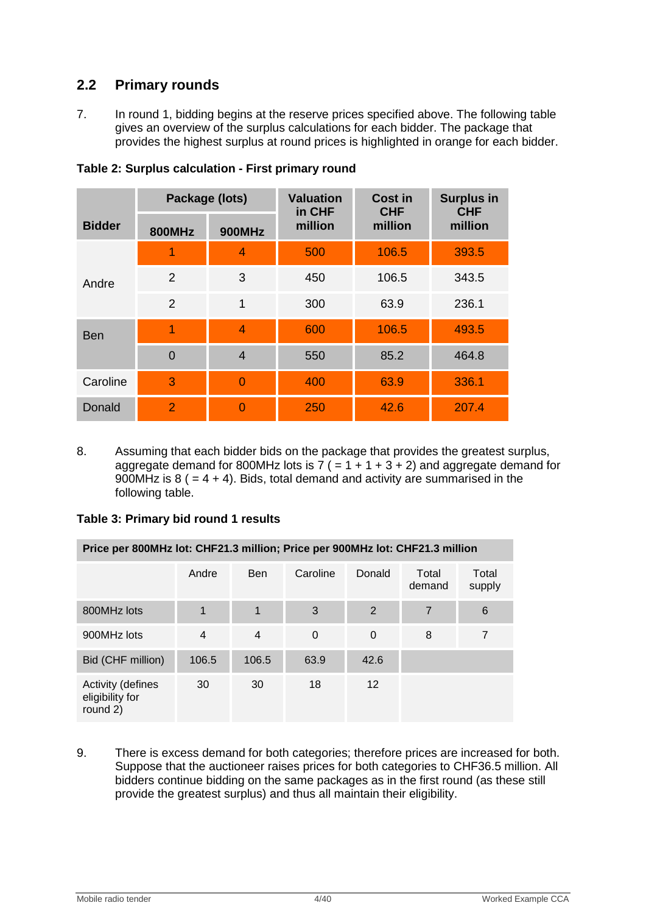# <span id="page-3-0"></span>**2.2 Primary rounds**

7. In round 1, bidding begins at the reserve prices specified above. The following table gives an overview of the surplus calculations for each bidder. The package that provides the highest surplus at round prices is highlighted in orange for each bidder.

|               | Package (lots) |                | <b>Valuation</b><br>in CHF | <b>Cost in</b><br><b>CHF</b> | <b>Surplus in</b><br><b>CHF</b> |  |
|---------------|----------------|----------------|----------------------------|------------------------------|---------------------------------|--|
| <b>Bidder</b> | <b>800MHz</b>  | <b>900MHz</b>  | million                    | million                      | million                         |  |
|               | 1              | $\overline{4}$ | 500                        | 106.5                        | 393.5                           |  |
| Andre         | $\overline{2}$ | 3              | 450                        | 106.5                        | 343.5                           |  |
|               | 2              | 1              | 300                        | 63.9                         | 236.1                           |  |
| <b>Ben</b>    | 1              | $\overline{4}$ | 600                        | 106.5                        | 493.5                           |  |
|               | $\overline{0}$ | $\overline{4}$ | 550                        | 85.2                         | 464.8                           |  |
| Caroline      | 3              | $\overline{0}$ | 400                        | 63.9                         | 336.1                           |  |
| Donald        | $\overline{2}$ | $\Omega$       | 250                        | 42.6                         | 207.4                           |  |

**Table 2: Surplus calculation - First primary round**

8. Assuming that each bidder bids on the package that provides the greatest surplus, aggregate demand for 800MHz lots is  $7 (= 1 + 1 + 3 + 2)$  and aggregate demand for 900MHz is  $8$  ( = 4 + 4). Bids, total demand and activity are summarised in the following table.

# **Table 3: Primary bid round 1 results**

| Price per 800MHz lot: CHF21.3 million; Price per 900MHz lot: CHF21.3 million |                |                |          |                   |                 |                 |  |
|------------------------------------------------------------------------------|----------------|----------------|----------|-------------------|-----------------|-----------------|--|
|                                                                              | Andre          | <b>Ben</b>     | Caroline | Donald            | Total<br>demand | Total<br>supply |  |
| 800MHz lots                                                                  |                | 1              | 3        | $\overline{2}$    | $\overline{7}$  | 6               |  |
| 900MHz lots                                                                  | $\overline{4}$ | $\overline{4}$ | $\Omega$ | $\Omega$          | 8               | 7               |  |
| Bid (CHF million)                                                            | 106.5          | 106.5          | 63.9     | 42.6              |                 |                 |  |
| Activity (defines<br>eligibility for<br>round 2)                             | 30             | 30             | 18       | $12 \overline{ }$ |                 |                 |  |

9. There is excess demand for both categories; therefore prices are increased for both. Suppose that the auctioneer raises prices for both categories to CHF36.5 million. All bidders continue bidding on the same packages as in the first round (as these still provide the greatest surplus) and thus all maintain their eligibility.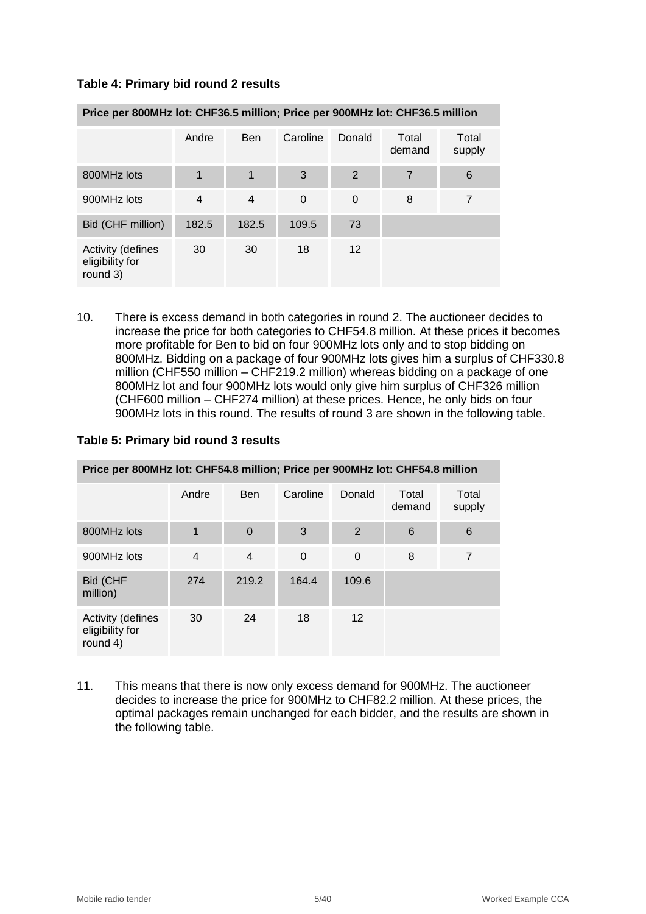| Table 4: Primary bid round 2 results |
|--------------------------------------|
|--------------------------------------|

| Price per 800MHz lot: CHF36.5 million; Price per 900MHz lot: CHF36.5 million |                |                |          |          |                 |                 |  |
|------------------------------------------------------------------------------|----------------|----------------|----------|----------|-----------------|-----------------|--|
|                                                                              | Andre          | <b>Ben</b>     | Caroline | Donald   | Total<br>demand | Total<br>supply |  |
| 800MHz lots                                                                  | 1              | $\mathbf 1$    | 3        | 2        | 7               | 6               |  |
| 900MHz lots                                                                  | $\overline{4}$ | $\overline{4}$ | 0        | $\Omega$ | 8               | 7               |  |
| Bid (CHF million)                                                            | 182.5          | 182.5          | 109.5    | 73       |                 |                 |  |
| <b>Activity (defines</b><br>eligibility for<br>round 3)                      | 30             | 30             | 18       | 12       |                 |                 |  |

10. There is excess demand in both categories in round 2. The auctioneer decides to increase the price for both categories to CHF54.8 million. At these prices it becomes more profitable for Ben to bid on four 900MHz lots only and to stop bidding on 800MHz. Bidding on a package of four 900MHz lots gives him a surplus of CHF330.8 million (CHF550 million – CHF219.2 million) whereas bidding on a package of one 800MHz lot and four 900MHz lots would only give him surplus of CHF326 million (CHF600 million – CHF274 million) at these prices. Hence, he only bids on four 900MHz lots in this round. The results of round 3 are shown in the following table.

|  |  | Table 5: Primary bid round 3 results |
|--|--|--------------------------------------|
|--|--|--------------------------------------|

| Price per 800MHz lot: CHF54.8 million; Price per 900MHz lot: CHF54.8 million |                |                |          |          |                 |                 |  |
|------------------------------------------------------------------------------|----------------|----------------|----------|----------|-----------------|-----------------|--|
|                                                                              | Andre          | <b>Ben</b>     | Caroline | Donald   | Total<br>demand | Total<br>supply |  |
| 800MHz lots                                                                  | 1              | $\mathbf 0$    | 3        | 2        | 6               | 6               |  |
| 900MHz lots                                                                  | $\overline{4}$ | $\overline{4}$ | 0        | $\Omega$ | 8               | $\overline{7}$  |  |
| Bid (CHF<br>million)                                                         | 274            | 219.2          | 164.4    | 109.6    |                 |                 |  |
| <b>Activity (defines</b><br>eligibility for<br>round 4)                      | 30             | 24             | 18       | 12       |                 |                 |  |

11. This means that there is now only excess demand for 900MHz. The auctioneer decides to increase the price for 900MHz to CHF82.2 million. At these prices, the optimal packages remain unchanged for each bidder, and the results are shown in the following table.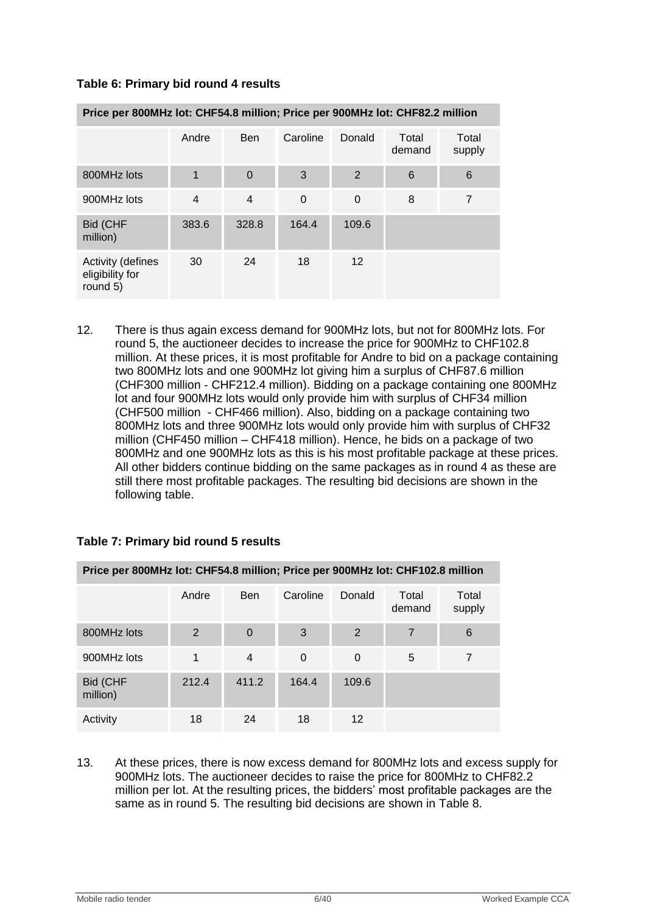| Price per 800MHz lot: CHF54.8 million; Price per 900MHz lot: CHF82.2 million |       |                |             |                   |                 |                 |  |
|------------------------------------------------------------------------------|-------|----------------|-------------|-------------------|-----------------|-----------------|--|
|                                                                              | Andre | <b>Ben</b>     | Caroline    | Donald            | Total<br>demand | Total<br>supply |  |
| 800MHz lots                                                                  | 1     | $\overline{0}$ | 3           | $\overline{2}$    | 6               | 6               |  |
| 900MHz lots                                                                  | 4     | $\overline{4}$ | $\mathbf 0$ | $\mathbf 0$       | 8               | 7               |  |
| Bid (CHF<br>million)                                                         | 383.6 | 328.8          | 164.4       | 109.6             |                 |                 |  |
| <b>Activity (defines</b><br>eligibility for<br>round 5)                      | 30    | 24             | 18          | $12 \overline{ }$ |                 |                 |  |

### **Table 6: Primary bid round 4 results**

12. There is thus again excess demand for 900MHz lots, but not for 800MHz lots. For round 5, the auctioneer decides to increase the price for 900MHz to CHF102.8 million. At these prices, it is most profitable for Andre to bid on a package containing two 800MHz lots and one 900MHz lot giving him a surplus of CHF87.6 million (CHF300 million - CHF212.4 million). Bidding on a package containing one 800MHz lot and four 900MHz lots would only provide him with surplus of CHF34 million (CHF500 million - CHF466 million). Also, bidding on a package containing two 800MHz lots and three 900MHz lots would only provide him with surplus of CHF32 million (CHF450 million – CHF418 million). Hence, he bids on a package of two 800MHz and one 900MHz lots as this is his most profitable package at these prices. All other bidders continue bidding on the same packages as in round 4 as these are still there most profitable packages. The resulting bid decisions are shown in the following table.

| Price per 800MHz lot: CHF54.8 million; Price per 900MHz lot: CHF102.8 million |       |                |          |          |                 |                 |  |  |
|-------------------------------------------------------------------------------|-------|----------------|----------|----------|-----------------|-----------------|--|--|
|                                                                               | Andre | <b>Ben</b>     | Caroline | Donald   | Total<br>demand | Total<br>supply |  |  |
| 800MHz lots                                                                   | 2     | 0              | 3        | 2        | 7               | 6               |  |  |
| 900MHz lots                                                                   |       | $\overline{4}$ | $\Omega$ | $\Omega$ | 5               |                 |  |  |
| Bid (CHF<br>million)                                                          | 212.4 | 411.2          | 164.4    | 109.6    |                 |                 |  |  |
| Activity                                                                      | 18    | 24             | 18       | 12       |                 |                 |  |  |

#### **Table 7: Primary bid round 5 results**

13. At these prices, there is now excess demand for 800MHz lots and excess supply for 900MHz lots. The auctioneer decides to raise the price for 800MHz to CHF82.2 million per lot. At the resulting prices, the bidders" most profitable packages are the same as in round 5. The resulting bid decisions are shown in [Table 8.](#page-6-1)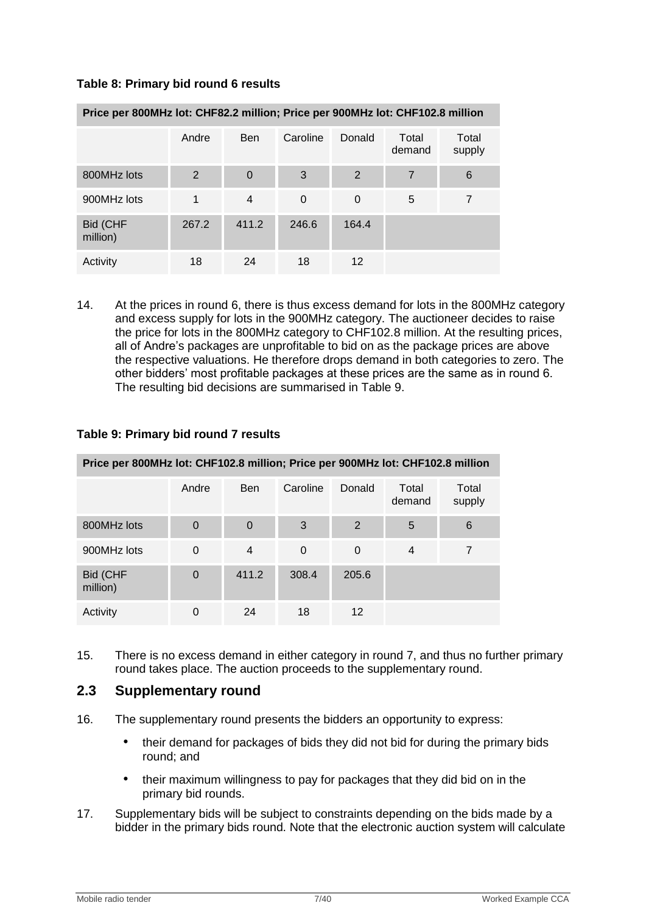# <span id="page-6-1"></span>**Table 8: Primary bid round 6 results**

| Price per 800MHz lot: CHF82.2 million; Price per 900MHz lot: CHF102.8 million |       |                |          |                   |                 |                 |  |
|-------------------------------------------------------------------------------|-------|----------------|----------|-------------------|-----------------|-----------------|--|
|                                                                               | Andre | <b>Ben</b>     | Caroline | Donald            | Total<br>demand | Total<br>supply |  |
| 800MHz lots                                                                   | 2     | $\overline{0}$ | 3        | 2                 | 7               | 6               |  |
| 900MHz lots                                                                   |       | 4              | 0        | $\Omega$          | 5               | 7               |  |
| Bid (CHF<br>million)                                                          | 267.2 | 411.2          | 246.6    | 164.4             |                 |                 |  |
| Activity                                                                      | 18    | 24             | 18       | $12 \overline{ }$ |                 |                 |  |

14. At the prices in round 6, there is thus excess demand for lots in the 800MHz category and excess supply for lots in the 900MHz category. The auctioneer decides to raise the price for lots in the 800MHz category to CHF102.8 million. At the resulting prices, all of Andre"s packages are unprofitable to bid on as the package prices are above the respective valuations. He therefore drops demand in both categories to zero. The other bidders" most profitable packages at these prices are the same as in round 6. The resulting bid decisions are summarised in [Table 9.](#page-6-2)

| Price per 800MHz lot: CHF102.8 million; Price per 900MHz lot: CHF102.8 million |          |                |          |                   |                 |                 |  |
|--------------------------------------------------------------------------------|----------|----------------|----------|-------------------|-----------------|-----------------|--|
|                                                                                | Andre    | <b>Ben</b>     | Caroline | Donald            | Total<br>demand | Total<br>supply |  |
| 800MHz lots                                                                    | $\Omega$ | $\overline{0}$ | 3        | 2                 | 5               | 6               |  |
| 900MHz lots                                                                    | $\Omega$ | $\overline{4}$ | 0        | $\Omega$          | $\overline{4}$  | 7               |  |
| Bid (CHF<br>million)                                                           | $\Omega$ | 411.2          | 308.4    | 205.6             |                 |                 |  |
| Activity                                                                       | 0        | 24             | 18       | $12 \overline{ }$ |                 |                 |  |

# <span id="page-6-2"></span>**Table 9: Primary bid round 7 results**

15. There is no excess demand in either category in round 7, and thus no further primary round takes place. The auction proceeds to the supplementary round.

# <span id="page-6-0"></span>**2.3 Supplementary round**

- 16. The supplementary round presents the bidders an opportunity to express:
	- their demand for packages of bids they did not bid for during the primary bids round; and
	- their maximum willingness to pay for packages that they did bid on in the primary bid rounds.
- 17. Supplementary bids will be subject to constraints depending on the bids made by a bidder in the primary bids round. Note that the electronic auction system will calculate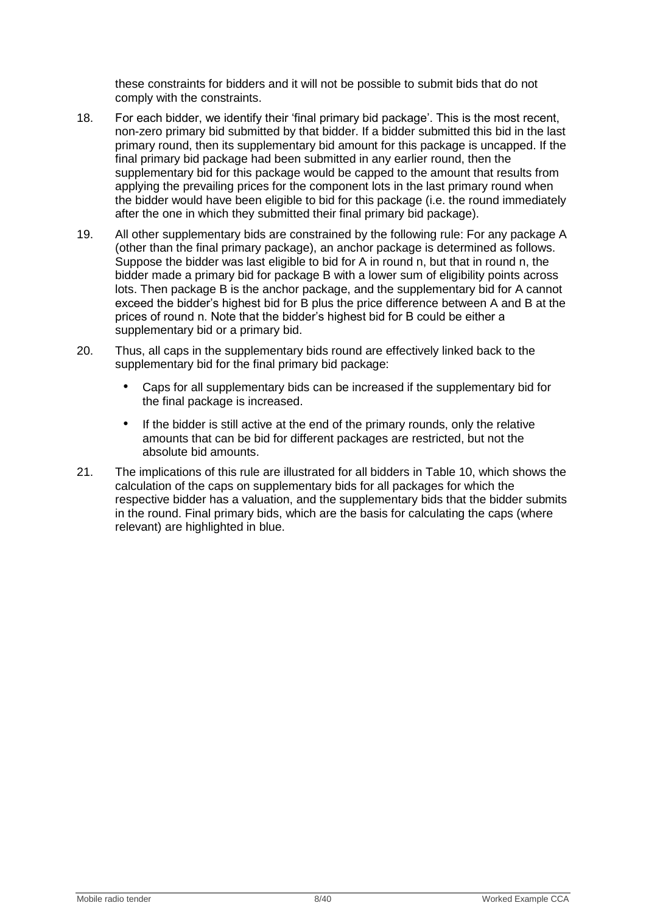these constraints for bidders and it will not be possible to submit bids that do not comply with the constraints.

- 18. For each bidder, we identify their "final primary bid package". This is the most recent, non-zero primary bid submitted by that bidder. If a bidder submitted this bid in the last primary round, then its supplementary bid amount for this package is uncapped. If the final primary bid package had been submitted in any earlier round, then the supplementary bid for this package would be capped to the amount that results from applying the prevailing prices for the component lots in the last primary round when the bidder would have been eligible to bid for this package (i.e. the round immediately after the one in which they submitted their final primary bid package).
- 19. All other supplementary bids are constrained by the following rule: For any package A (other than the final primary package), an anchor package is determined as follows. Suppose the bidder was last eligible to bid for A in round n, but that in round n, the bidder made a primary bid for package B with a lower sum of eligibility points across lots. Then package B is the anchor package, and the supplementary bid for A cannot exceed the bidder"s highest bid for B plus the price difference between A and B at the prices of round n. Note that the bidder"s highest bid for B could be either a supplementary bid or a primary bid.
- 20. Thus, all caps in the supplementary bids round are effectively linked back to the supplementary bid for the final primary bid package:
	- Caps for all supplementary bids can be increased if the supplementary bid for the final package is increased.
	- If the bidder is still active at the end of the primary rounds, only the relative amounts that can be bid for different packages are restricted, but not the absolute bid amounts.
- 21. The implications of this rule are illustrated for all bidders in [Table 10,](#page-8-1) which shows the calculation of the caps on supplementary bids for all packages for which the respective bidder has a valuation, and the supplementary bids that the bidder submits in the round. Final primary bids, which are the basis for calculating the caps (where relevant) are highlighted in blue.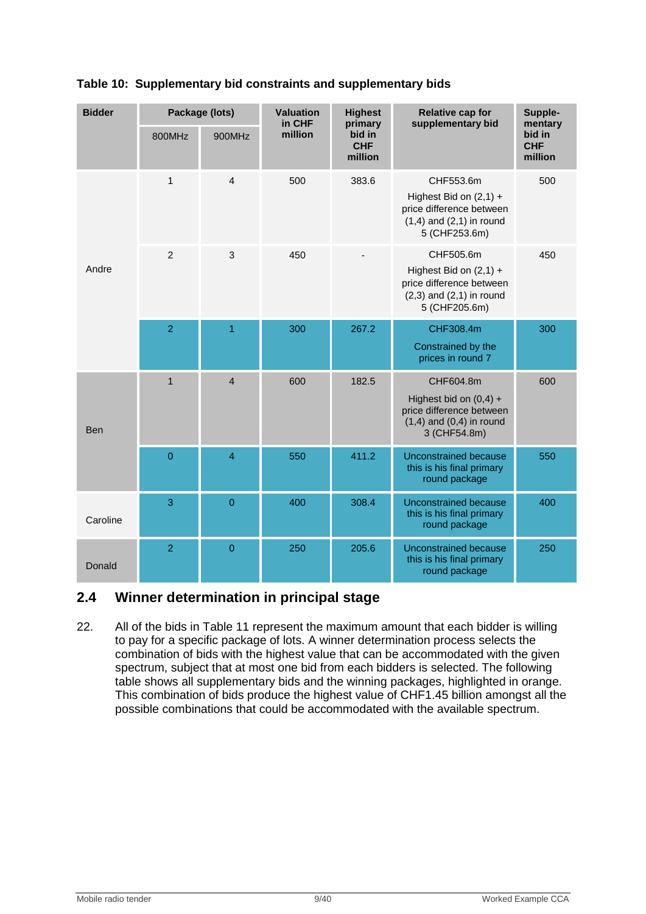| <b>Bidder</b> |                  | Package (lots) | <b>Valuation</b><br>in CHF | <b>Highest</b><br>primary       | <b>Relative cap for</b><br>supplementary bid                                                                       | Supple-<br>mentary              |
|---------------|------------------|----------------|----------------------------|---------------------------------|--------------------------------------------------------------------------------------------------------------------|---------------------------------|
|               | 800MHz           | 900MHz         | million                    | bid in<br><b>CHF</b><br>million |                                                                                                                    | bid in<br><b>CHF</b><br>million |
|               | $\mathbf{1}$     | $\overline{4}$ | 500                        | 383.6                           | CHF553.6m<br>Highest Bid on $(2,1)$ +<br>price difference between<br>$(1,4)$ and $(2,1)$ in round<br>5 (CHF253.6m) | 500                             |
| Andre         | $\overline{2}$   | 3              | 450                        |                                 | CHF505.6m<br>Highest Bid on $(2,1)$ +<br>price difference between<br>$(2,3)$ and $(2,1)$ in round<br>5 (CHF205.6m) | 450                             |
|               | $\overline{2}$   | 1              | 300                        | 267.2                           | CHF308.4m<br>Constrained by the<br>prices in round 7                                                               | 300                             |
| <b>Ben</b>    | $\mathbf{1}$     | $\overline{4}$ | 600                        | 182.5                           | CHF604.8m<br>Highest bid on $(0,4)$ +<br>price difference between<br>$(1,4)$ and $(0,4)$ in round<br>3 (CHF54.8m)  | 600                             |
|               | $\boldsymbol{0}$ | $\overline{4}$ | 550                        | 411.2                           | <b>Unconstrained because</b><br>this is his final primary<br>round package                                         | 550                             |
| Caroline      | 3                | $\mathbf 0$    | 400                        | 308.4                           | <b>Unconstrained because</b><br>this is his final primary<br>round package                                         | 400                             |
| Donald        | $\overline{2}$   | $\mathbf 0$    | 250                        | 205.6                           | <b>Unconstrained because</b><br>this is his final primary<br>round package                                         | 250                             |

# <span id="page-8-1"></span>**Table 10: Supplementary bid constraints and supplementary bids**

# <span id="page-8-0"></span>**2.4 Winner determination in principal stage**

22. All of the bids in [Table 11](#page-9-1) represent the maximum amount that each bidder is willing to pay for a specific package of lots. A winner determination process selects the combination of bids with the highest value that can be accommodated with the given spectrum, subject that at most one bid from each bidders is selected. The following table shows all supplementary bids and the winning packages, highlighted in orange. This combination of bids produce the highest value of CHF1.45 billion amongst all the possible combinations that could be accommodated with the available spectrum.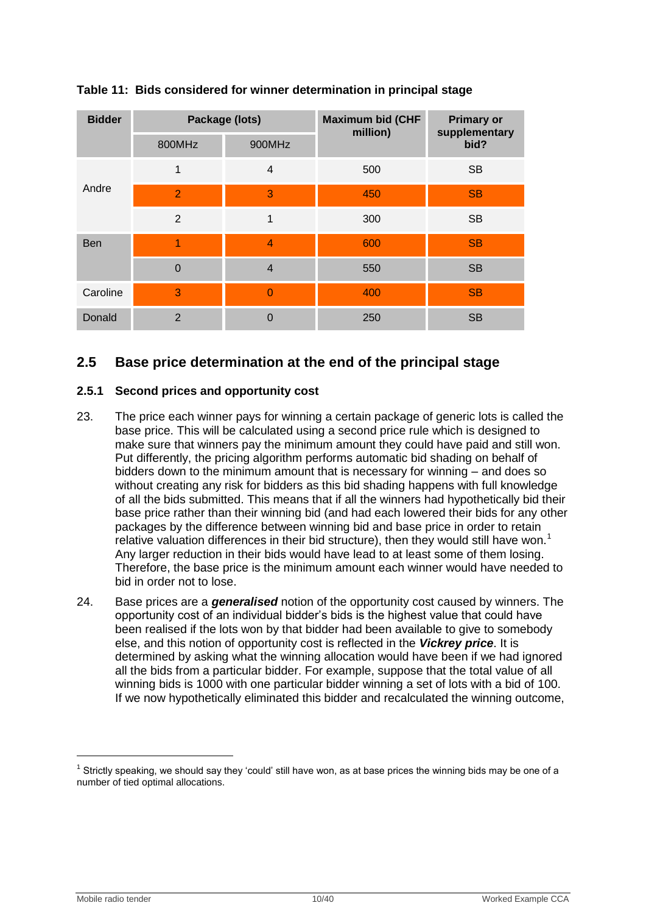| <b>Bidder</b> |                | Package (lots) | <b>Maximum bid (CHF</b><br>million) | <b>Primary or</b><br>supplementary |  |
|---------------|----------------|----------------|-------------------------------------|------------------------------------|--|
|               | 800MHz         | 900MHz         |                                     | bid?                               |  |
|               | $\mathbf{1}$   | $\overline{4}$ | 500                                 | <b>SB</b>                          |  |
| Andre         | $\overline{2}$ | 3              | 450                                 | <b>SB</b>                          |  |
|               | 2              | 1              | 300                                 | <b>SB</b>                          |  |
| <b>Ben</b>    | 1              | $\overline{4}$ | 600                                 | <b>SB</b>                          |  |
|               | $\Omega$       | $\overline{4}$ | 550                                 | <b>SB</b>                          |  |
| Caroline      | 3              | $\Omega$       | 400                                 | <b>SB</b>                          |  |
| Donald        | $\mathbf{2}$   | $\Omega$       | 250                                 | <b>SB</b>                          |  |

# <span id="page-9-1"></span>**Table 11: Bids considered for winner determination in principal stage**

# <span id="page-9-0"></span>**2.5 Base price determination at the end of the principal stage**

# **2.5.1 Second prices and opportunity cost**

- 23. The price each winner pays for winning a certain package of generic lots is called the base price. This will be calculated using a second price rule which is designed to make sure that winners pay the minimum amount they could have paid and still won. Put differently, the pricing algorithm performs automatic bid shading on behalf of bidders down to the minimum amount that is necessary for winning – and does so without creating any risk for bidders as this bid shading happens with full knowledge of all the bids submitted. This means that if all the winners had hypothetically bid their base price rather than their winning bid (and had each lowered their bids for any other packages by the difference between winning bid and base price in order to retain relative valuation differences in their bid structure), then they would still have won.<sup>1</sup> Any larger reduction in their bids would have lead to at least some of them losing. Therefore, the base price is the minimum amount each winner would have needed to bid in order not to lose.
- 24. Base prices are a *generalised* notion of the opportunity cost caused by winners. The opportunity cost of an individual bidder"s bids is the highest value that could have been realised if the lots won by that bidder had been available to give to somebody else, and this notion of opportunity cost is reflected in the *Vickrey price*. It is determined by asking what the winning allocation would have been if we had ignored all the bids from a particular bidder. For example, suppose that the total value of all winning bids is 1000 with one particular bidder winning a set of lots with a bid of 100. If we now hypothetically eliminated this bidder and recalculated the winning outcome,

 $\overline{a}$ 

 $1$  Strictly speaking, we should say they 'could' still have won, as at base prices the winning bids may be one of a number of tied optimal allocations.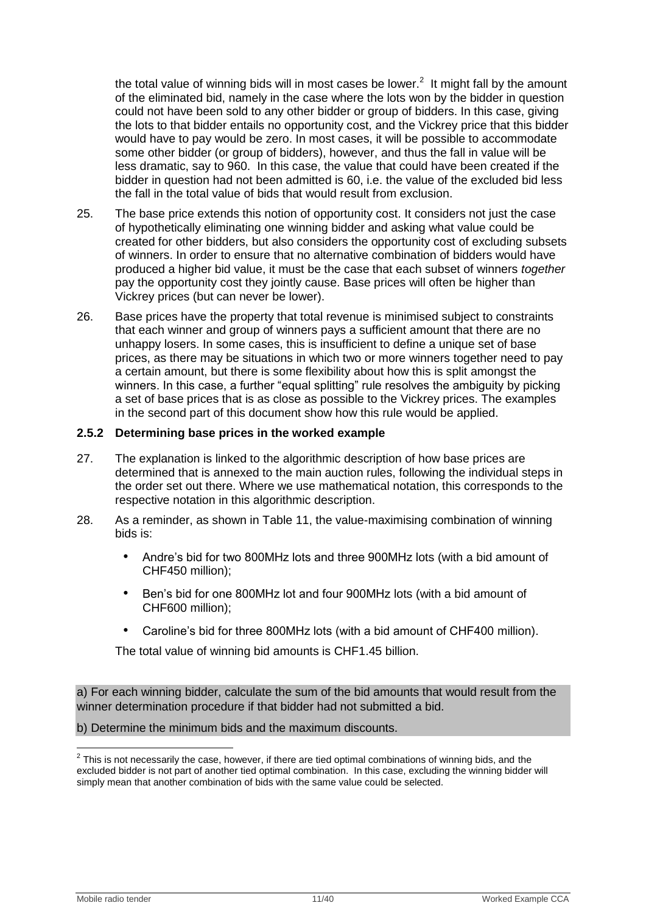the total value of winning bids will in most cases be lower. $^2$  It might fall by the amount of the eliminated bid, namely in the case where the lots won by the bidder in question could not have been sold to any other bidder or group of bidders. In this case, giving the lots to that bidder entails no opportunity cost, and the Vickrey price that this bidder would have to pay would be zero. In most cases, it will be possible to accommodate some other bidder (or group of bidders), however, and thus the fall in value will be less dramatic, say to 960. In this case, the value that could have been created if the bidder in question had not been admitted is 60, i.e. the value of the excluded bid less the fall in the total value of bids that would result from exclusion.

- 25. The base price extends this notion of opportunity cost. It considers not just the case of hypothetically eliminating one winning bidder and asking what value could be created for other bidders, but also considers the opportunity cost of excluding subsets of winners. In order to ensure that no alternative combination of bidders would have produced a higher bid value, it must be the case that each subset of winners *together* pay the opportunity cost they jointly cause. Base prices will often be higher than Vickrey prices (but can never be lower).
- 26. Base prices have the property that total revenue is minimised subject to constraints that each winner and group of winners pays a sufficient amount that there are no unhappy losers. In some cases, this is insufficient to define a unique set of base prices, as there may be situations in which two or more winners together need to pay a certain amount, but there is some flexibility about how this is split amongst the winners. In this case, a further "equal splitting" rule resolves the ambiguity by picking a set of base prices that is as close as possible to the Vickrey prices. The examples in the second part of this document show how this rule would be applied.

#### **2.5.2 Determining base prices in the worked example**

- 27. The explanation is linked to the algorithmic description of how base prices are determined that is annexed to the main auction rules, following the individual steps in the order set out there. Where we use mathematical notation, this corresponds to the respective notation in this algorithmic description.
- 28. As a reminder, as shown in [Table 11,](#page-9-1) the value-maximising combination of winning bids is:
	- Andre"s bid for two 800MHz lots and three 900MHz lots (with a bid amount of CHF450 million);
	- Ben"s bid for one 800MHz lot and four 900MHz lots (with a bid amount of CHF600 million);
	- Caroline's bid for three 800MHz lots (with a bid amount of CHF400 million).

The total value of winning bid amounts is CHF1.45 billion.

a) For each winning bidder, calculate the sum of the bid amounts that would result from the winner determination procedure if that bidder had not submitted a bid.

#### b) Determine the minimum bids and the maximum discounts.

 $\overline{\phantom{a}}$  $2$  This is not necessarily the case, however, if there are tied optimal combinations of winning bids, and the excluded bidder is not part of another tied optimal combination. In this case, excluding the winning bidder will simply mean that another combination of bids with the same value could be selected.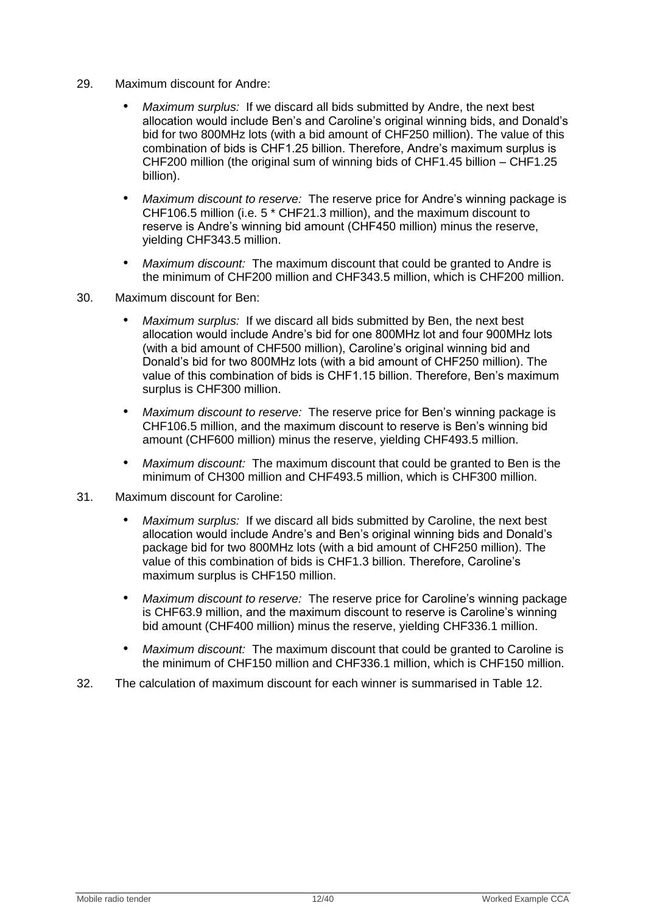- 29. Maximum discount for Andre:
	- *Maximum surplus:* If we discard all bids submitted by Andre, the next best allocation would include Ben's and Caroline's original winning bids, and Donald's bid for two 800MHz lots (with a bid amount of CHF250 million). The value of this combination of bids is CHF1.25 billion. Therefore, Andre"s maximum surplus is CHF200 million (the original sum of winning bids of CHF1.45 billion – CHF1.25 billion).
	- *Maximum discount to reserve:* The reserve price for Andre"s winning package is CHF106.5 million (i.e. 5 \* CHF21.3 million), and the maximum discount to reserve is Andre"s winning bid amount (CHF450 million) minus the reserve, yielding CHF343.5 million.
	- *Maximum discount:* The maximum discount that could be granted to Andre is the minimum of CHF200 million and CHF343.5 million, which is CHF200 million.
- 30. Maximum discount for Ben:
	- *Maximum surplus:* If we discard all bids submitted by Ben, the next best allocation would include Andre"s bid for one 800MHz lot and four 900MHz lots (with a bid amount of CHF500 million), Caroline"s original winning bid and Donald"s bid for two 800MHz lots (with a bid amount of CHF250 million). The value of this combination of bids is CHF1.15 billion. Therefore, Ben"s maximum surplus is CHF300 million.
	- *Maximum discount to reserve:* The reserve price for Ben"s winning package is CHF106.5 million, and the maximum discount to reserve is Ben"s winning bid amount (CHF600 million) minus the reserve, yielding CHF493.5 million.
	- *Maximum discount:* The maximum discount that could be granted to Ben is the minimum of CH300 million and CHF493.5 million, which is CHF300 million.
- 31. Maximum discount for Caroline:
	- *Maximum surplus:* If we discard all bids submitted by Caroline, the next best allocation would include Andre"s and Ben"s original winning bids and Donald"s package bid for two 800MHz lots (with a bid amount of CHF250 million). The value of this combination of bids is CHF1.3 billion. Therefore, Caroline"s maximum surplus is CHF150 million.
	- *Maximum discount to reserve:* The reserve price for Caroline"s winning package is CHF63.9 million, and the maximum discount to reserve is Caroline"s winning bid amount (CHF400 million) minus the reserve, yielding CHF336.1 million.
	- *Maximum discount:* The maximum discount that could be granted to Caroline is the minimum of CHF150 million and CHF336.1 million, which is CHF150 million.
- 32. The calculation of maximum discount for each winner is summarised in [Table 12.](#page-12-0)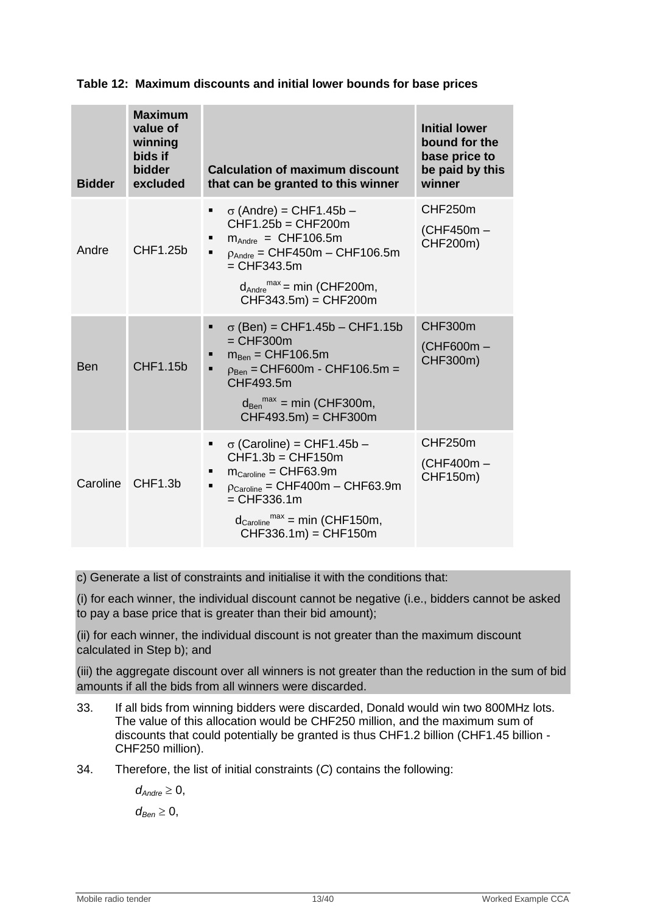| <b>Bidder</b> | <b>Maximum</b><br>value of<br>winning<br>bids if<br><b>bidder</b><br>excluded | <b>Calculation of maximum discount</b><br>that can be granted to this winner                                                                                                                                                                                                    | <b>Initial lower</b><br>bound for the<br>base price to<br>be paid by this<br>winner |
|---------------|-------------------------------------------------------------------------------|---------------------------------------------------------------------------------------------------------------------------------------------------------------------------------------------------------------------------------------------------------------------------------|-------------------------------------------------------------------------------------|
| Andre         | CHF1.25b                                                                      | $\sigma$ (Andre) = CHF1.45b –<br>Ξ<br>$CHF1.25b = CHF200m$<br>$m_{\text{Andre}} = \text{CHF106.5m}$<br>п<br>$p_{Andre} = CHF450m - CHF106.5m$<br>$=$ CHF343.5m<br>$d_{\text{Andre}}^{\text{max}} = \text{min}$ (CHF200m,<br>$CHF343.5m$ = CHF200m                               | CHF250m<br>(CHF450m -<br>CHF200m)                                                   |
| <b>Ben</b>    | CHF1.15b                                                                      | $\sigma$ (Ben) = CHF1.45b – CHF1.15b<br>٠<br>$=$ CHF300 $m$<br>$m_{\text{Ben}} = \text{CHF106.5m}$<br>п<br>$p_{Ben} = CHF600m - CHF106.5m =$<br>п<br>CHF493.5m<br>$d_{\text{Ben}}^{\text{max}}$ = min (CHF300m,<br>$CHF493.5m$ = CHF300m                                        | CHF300m<br>(CHF600m-<br>CHF300m)                                                    |
| Caroline      | CHF1.3b                                                                       | $\sigma$ (Caroline) = CHF1.45b -<br>٠<br>$CHF1.3b = CHF150m$<br>$m_{\text{Caroline}} = \text{CHF63.9m}$<br>$p_{\text{Caroline}} = \text{CHF400m} - \text{CHF63.9m}$<br>П<br>$=$ CHF336.1m<br>$d_{\text{Caroline}}^{\text{max}} = \text{min}$ (CHF150m,<br>$CHF336.1m$ = CHF150m | CHF250m<br>(CHF400m-<br>CHF150m)                                                    |

# <span id="page-12-0"></span>**Table 12: Maximum discounts and initial lower bounds for base prices**

c) Generate a list of constraints and initialise it with the conditions that:

(i) for each winner, the individual discount cannot be negative (i.e., bidders cannot be asked to pay a base price that is greater than their bid amount);

(ii) for each winner, the individual discount is not greater than the maximum discount calculated in Step b); and

(iii) the aggregate discount over all winners is not greater than the reduction in the sum of bid amounts if all the bids from all winners were discarded.

- 33. If all bids from winning bidders were discarded, Donald would win two 800MHz lots. The value of this allocation would be CHF250 million, and the maximum sum of discounts that could potentially be granted is thus CHF1.2 billion (CHF1.45 billion - CHF250 million).
- 34. Therefore, the list of initial constraints (*C*) contains the following:

 $d_{\text{Andre}} \geq 0$ ,  $d_{\text{Ben}} \geq 0$ ,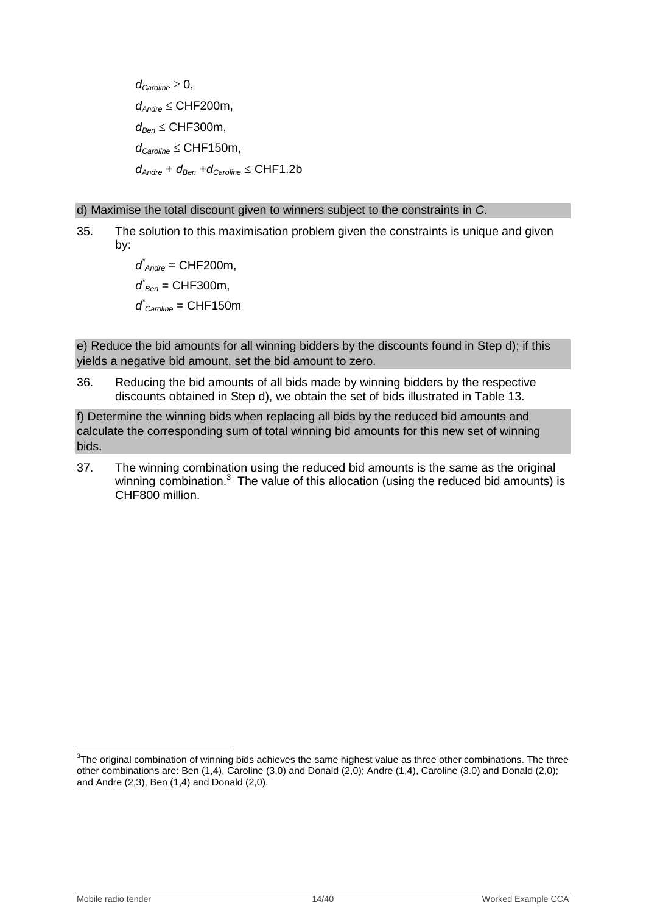$d_{\text{Carnline}} \geq 0$ , *dAndre* CHF200m, *dBen* CHF300m,  $d_{\text{Caroline}} \leq \text{CHF150m}$ ,  $d_{\text{Andre}} + d_{\text{Ben}} + d_{\text{Caroline}} \leq \text{CHF1.2b}$ 

#### d) Maximise the total discount given to winners subject to the constraints in *C*.

35. The solution to this maximisation problem given the constraints is unique and given by:

> *d \* Andre* = CHF200m, *d \* Ben* = CHF300m, *d \* Caroline* = CHF150m

e) Reduce the bid amounts for all winning bidders by the discounts found in Step d); if this yields a negative bid amount, set the bid amount to zero.

36. Reducing the bid amounts of all bids made by winning bidders by the respective discounts obtained in Step d), we obtain the set of bids illustrated in [Table 13.](#page-14-0)

f) Determine the winning bids when replacing all bids by the reduced bid amounts and calculate the corresponding sum of total winning bid amounts for this new set of winning bids.

37. The winning combination using the reduced bid amounts is the same as the original winning combination. $3$  The value of this allocation (using the reduced bid amounts) is CHF800 million.

 $\overline{\phantom{a}}$  $3$ The original combination of winning bids achieves the same highest value as three other combinations. The three other combinations are: Ben (1,4), Caroline (3,0) and Donald (2,0); Andre (1,4), Caroline (3.0) and Donald (2,0); and Andre (2,3), Ben (1,4) and Donald (2,0).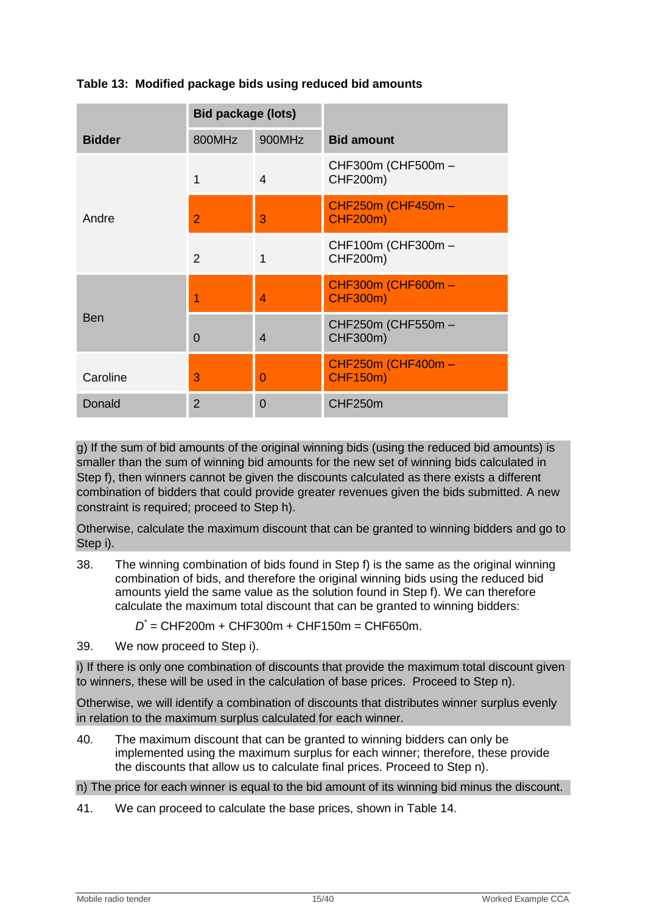|               | <b>Bid package (lots)</b> |        |                                       |
|---------------|---------------------------|--------|---------------------------------------|
| <b>Bidder</b> | 800MHz                    | 900MHz | <b>Bid amount</b>                     |
| Andre         | 1                         | 4      | CHF300m (CHF500m -<br>CHF200m)        |
|               | 2                         | 3      | CHF250m (CHF450m -<br><b>CHF200m)</b> |
|               | $\mathcal{P}$             | 1      | CHF100m (CHF300m -<br>CHF200m)        |
|               | 1                         | 4      | CHF300m (CHF600m -<br><b>CHF300m)</b> |
| <b>Ben</b>    | $\Omega$                  | 4      | CHF250m (CHF550m -<br>CHF300m)        |
| Caroline      | 3                         | 0      | CHF250m (CHF400m -<br><b>CHF150m)</b> |
| Donald        | $\overline{2}$            | 0      | CHF250m                               |

# <span id="page-14-0"></span>**Table 13: Modified package bids using reduced bid amounts**

g) If the sum of bid amounts of the original winning bids (using the reduced bid amounts) is smaller than the sum of winning bid amounts for the new set of winning bids calculated in Step f), then winners cannot be given the discounts calculated as there exists a different combination of bidders that could provide greater revenues given the bids submitted. A new constraint is required; proceed to Step h).

Otherwise, calculate the maximum discount that can be granted to winning bidders and go to Step i).

- 38. The winning combination of bids found in Step f) is the same as the original winning combination of bids, and therefore the original winning bids using the reduced bid amounts yield the same value as the solution found in Step f). We can therefore calculate the maximum total discount that can be granted to winning bidders:
	- *D \** = CHF200m + CHF300m + CHF150m = CHF650m.
- 39. We now proceed to Step i).

i) If there is only one combination of discounts that provide the maximum total discount given to winners, these will be used in the calculation of base prices. Proceed to Step n).

Otherwise, we will identify a combination of discounts that distributes winner surplus evenly in relation to the maximum surplus calculated for each winner.

40. The maximum discount that can be granted to winning bidders can only be implemented using the maximum surplus for each winner; therefore, these provide the discounts that allow us to calculate final prices. Proceed to Step n).

n) The price for each winner is equal to the bid amount of its winning bid minus the discount.

41. We can proceed to calculate the base prices, shown in [Table 14.](#page-15-1)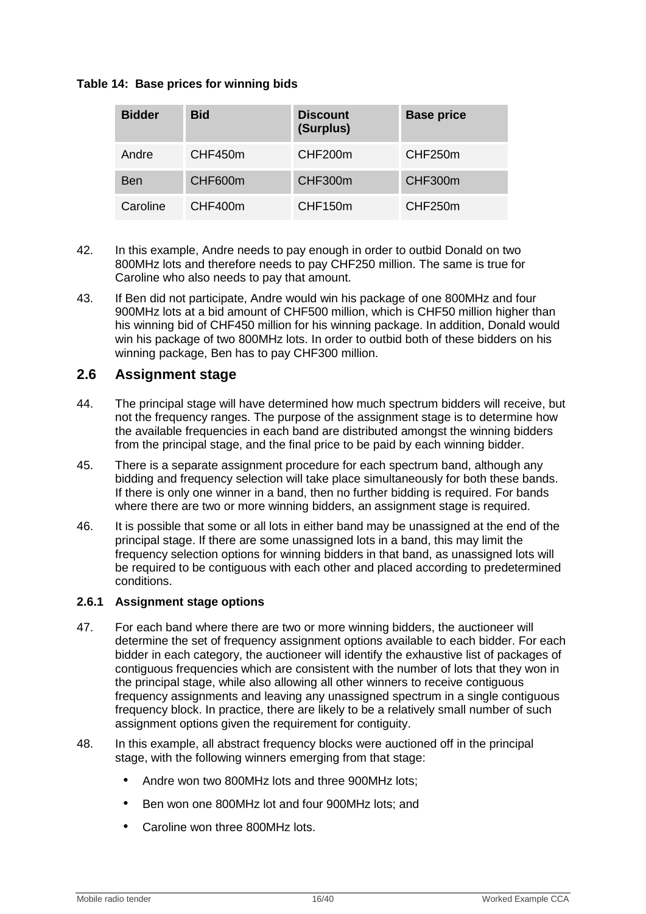# <span id="page-15-1"></span>**Table 14: Base prices for winning bids**

| <b>Bidder</b> | <b>Bid</b> | <b>Discount</b><br>(Surplus) | <b>Base price</b> |
|---------------|------------|------------------------------|-------------------|
| Andre         | CHF450m    | CHF200m                      | CHF250m           |
| Ben           | CHF600m    | CHF300m                      | CHF300m           |
| Caroline      | CHF400m    | CHF150m                      | CHF250m           |

- 42. In this example, Andre needs to pay enough in order to outbid Donald on two 800MHz lots and therefore needs to pay CHF250 million. The same is true for Caroline who also needs to pay that amount.
- 43. If Ben did not participate, Andre would win his package of one 800MHz and four 900MHz lots at a bid amount of CHF500 million, which is CHF50 million higher than his winning bid of CHF450 million for his winning package. In addition, Donald would win his package of two 800MHz lots. In order to outbid both of these bidders on his winning package, Ben has to pay CHF300 million.

# <span id="page-15-0"></span>**2.6 Assignment stage**

- 44. The principal stage will have determined how much spectrum bidders will receive, but not the frequency ranges. The purpose of the assignment stage is to determine how the available frequencies in each band are distributed amongst the winning bidders from the principal stage, and the final price to be paid by each winning bidder.
- 45. There is a separate assignment procedure for each spectrum band, although any bidding and frequency selection will take place simultaneously for both these bands. If there is only one winner in a band, then no further bidding is required. For bands where there are two or more winning bidders, an assignment stage is required.
- 46. It is possible that some or all lots in either band may be unassigned at the end of the principal stage. If there are some unassigned lots in a band, this may limit the frequency selection options for winning bidders in that band, as unassigned lots will be required to be contiguous with each other and placed according to predetermined conditions.

#### **2.6.1 Assignment stage options**

- 47. For each band where there are two or more winning bidders, the auctioneer will determine the set of frequency assignment options available to each bidder. For each bidder in each category, the auctioneer will identify the exhaustive list of packages of contiguous frequencies which are consistent with the number of lots that they won in the principal stage, while also allowing all other winners to receive contiguous frequency assignments and leaving any unassigned spectrum in a single contiguous frequency block. In practice, there are likely to be a relatively small number of such assignment options given the requirement for contiguity.
- 48. In this example, all abstract frequency blocks were auctioned off in the principal stage, with the following winners emerging from that stage:
	- Andre won two 800MHz lots and three 900MHz lots;
	- Ben won one 800MHz lot and four 900MHz lots; and
	- Caroline won three 800MHz lots.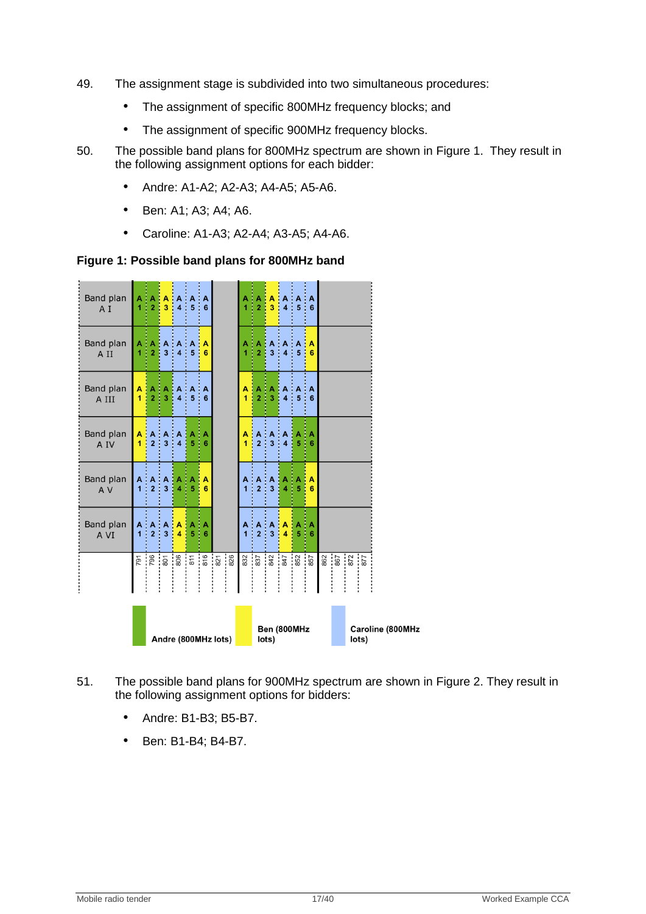- 49. The assignment stage is subdivided into two simultaneous procedures:
	- The assignment of specific 800MHz frequency blocks; and
	- The assignment of specific 900MHz frequency blocks.
- 50. The possible band plans for 800MHz spectrum are shown in [Figure 1.](#page-16-0) They result in the following assignment options for each bidder:
	- Andre: A1-A2; A2-A3; A4-A5; A5-A6.
	- Ben: A1; A3; A4; A6.
	- Caroline: A1-A3; A2-A4; A3-A5; A4-A6.

<span id="page-16-0"></span>**Figure 1: Possible band plans for 800MHz band**



- 51. The possible band plans for 900MHz spectrum are shown in [Figure 2.](#page-17-0) They result in the following assignment options for bidders:
	- Andre: B1-B3; B5-B7.
	- Ben: B1-B4; B4-B7.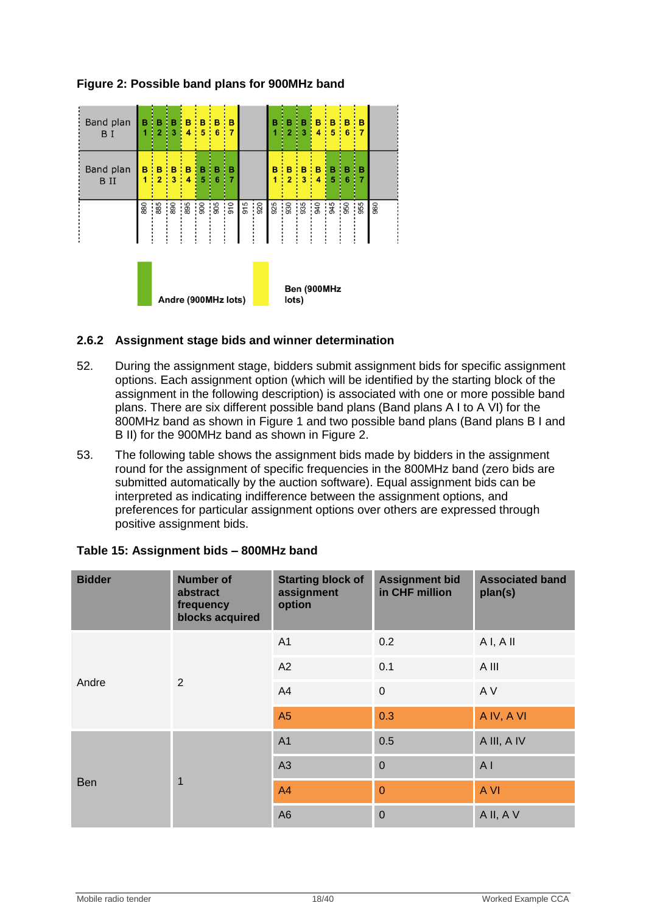

# <span id="page-17-0"></span>**Figure 2: Possible band plans for 900MHz band**

# **2.6.2 Assignment stage bids and winner determination**

- 52. During the assignment stage, bidders submit assignment bids for specific assignment options. Each assignment option (which will be identified by the starting block of the assignment in the following description) is associated with one or more possible band plans. There are six different possible band plans (Band plans A I to A VI) for the 800MHz band as shown in [Figure 1](#page-16-0) and two possible band plans (Band plans B I and B II) for the 900MHz band as shown in [Figure 2.](#page-17-0)
- 53. The following table shows the assignment bids made by bidders in the assignment round for the assignment of specific frequencies in the 800MHz band (zero bids are submitted automatically by the auction software). Equal assignment bids can be interpreted as indicating indifference between the assignment options, and preferences for particular assignment options over others are expressed through positive assignment bids.

| <b>Bidder</b> | <b>Number of</b><br>abstract<br>frequency<br>blocks acquired | <b>Starting block of</b><br>assignment<br>option | <b>Assignment bid</b><br>in CHF million | <b>Associated band</b><br>plan(s) |
|---------------|--------------------------------------------------------------|--------------------------------------------------|-----------------------------------------|-----------------------------------|
|               |                                                              | A1                                               | 0.2                                     | A I, A II                         |
| Andre         | 2                                                            | A2                                               | 0.1                                     | A III                             |
|               |                                                              | A4                                               | $\pmb{0}$                               | A V                               |
|               |                                                              | A5                                               | 0.3                                     | A IV, A VI                        |
| Ben           | $\mathbf{1}$                                                 | A <sub>1</sub>                                   | 0.5                                     | A III, A IV                       |
|               |                                                              | A3                                               | $\overline{0}$                          | A <sub>l</sub>                    |
|               |                                                              | A4                                               | $\overline{0}$                          | A VI                              |
|               |                                                              | A <sub>6</sub>                                   | $\overline{0}$                          | A II, A V                         |

#### **Table 15: Assignment bids – 800MHz band**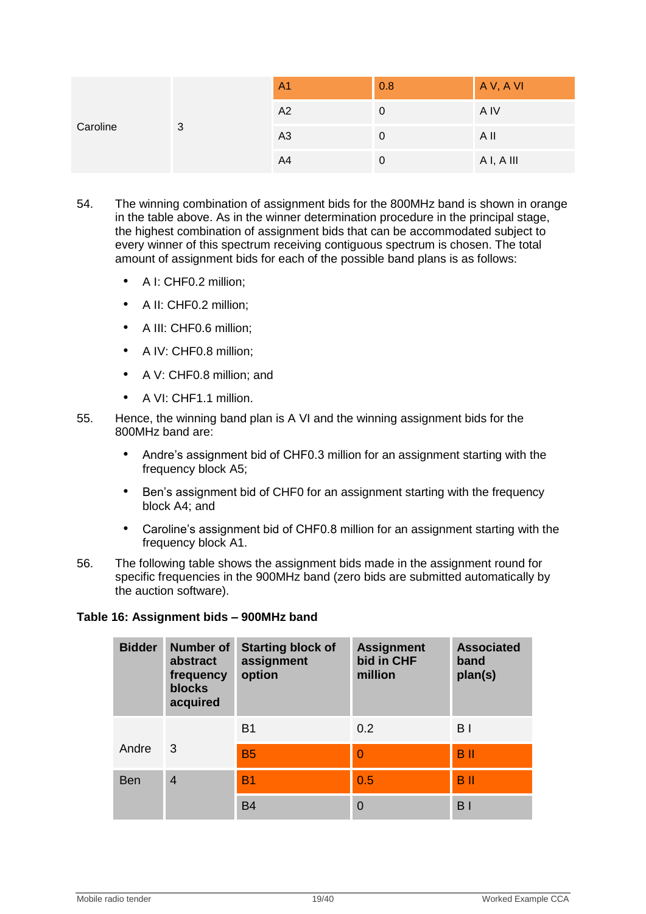| Caroline | 3 | A <sub>1</sub> | 0.8 | A V, A VI |
|----------|---|----------------|-----|-----------|
|          |   | A2             | O   | A IV      |
|          |   | A <sub>3</sub> |     | A II      |
|          |   | A4             | υ   | AI, AIII  |

- 54. The winning combination of assignment bids for the 800MHz band is shown in orange in the table above. As in the winner determination procedure in the principal stage, the highest combination of assignment bids that can be accommodated subject to every winner of this spectrum receiving contiguous spectrum is chosen. The total amount of assignment bids for each of the possible band plans is as follows:
	- A I: CHF0.2 million;
	- A II: CHF0.2 million;
	- A III: CHF0.6 million:
	- A IV: CHF0.8 million:
	- A V: CHF0.8 million: and
	- A VI: CHF1.1 million.
- 55. Hence, the winning band plan is A VI and the winning assignment bids for the 800MHz band are:
	- Andre's assignment bid of CHF0.3 million for an assignment starting with the frequency block A5;
	- Ben"s assignment bid of CHF0 for an assignment starting with the frequency block A4; and
	- Caroline"s assignment bid of CHF0.8 million for an assignment starting with the frequency block A1.
- 56. The following table shows the assignment bids made in the assignment round for specific frequencies in the 900MHz band (zero bids are submitted automatically by the auction software).

# **Table 16: Assignment bids – 900MHz band**

| <b>Bidder</b> | <b>Number of</b><br>abstract<br>frequency<br><b>blocks</b><br>acquired | <b>Starting block of</b><br>assignment<br>option | <b>Assignment</b><br>bid in CHF<br>million | <b>Associated</b><br>band<br>plan(s) |
|---------------|------------------------------------------------------------------------|--------------------------------------------------|--------------------------------------------|--------------------------------------|
|               |                                                                        | <b>B1</b>                                        | 0.2                                        | B <sub>1</sub>                       |
| Andre         | 3                                                                      | <b>B5</b>                                        | $\overline{0}$                             | <b>B</b> <sub>II</sub>               |
| <b>Ben</b>    | $\overline{4}$                                                         | <b>B1</b>                                        | 0.5                                        | <b>B</b> <sub>II</sub>               |
|               |                                                                        | <b>B4</b>                                        | $\Omega$                                   | B <sub>1</sub>                       |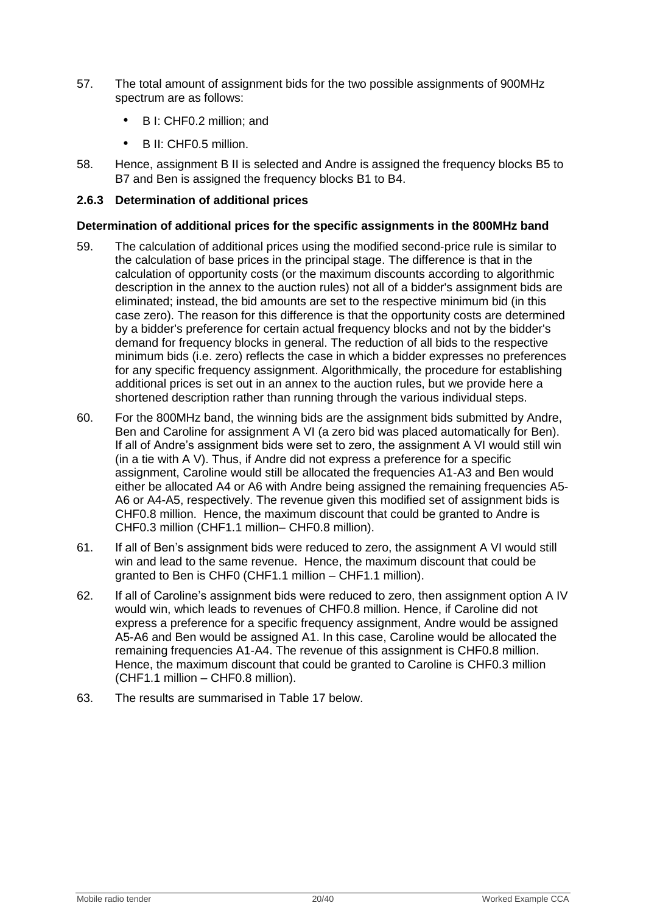- 57. The total amount of assignment bids for the two possible assignments of 900MHz spectrum are as follows:
	- B I: CHF0.2 million; and
	- B II: CHF0.5 million.
- 58. Hence, assignment B II is selected and Andre is assigned the frequency blocks B5 to B7 and Ben is assigned the frequency blocks B1 to B4.

# **2.6.3 Determination of additional prices**

### **Determination of additional prices for the specific assignments in the 800MHz band**

- 59. The calculation of additional prices using the modified second-price rule is similar to the calculation of base prices in the principal stage. The difference is that in the calculation of opportunity costs (or the maximum discounts according to algorithmic description in the annex to the auction rules) not all of a bidder's assignment bids are eliminated; instead, the bid amounts are set to the respective minimum bid (in this case zero). The reason for this difference is that the opportunity costs are determined by a bidder's preference for certain actual frequency blocks and not by the bidder's demand for frequency blocks in general. The reduction of all bids to the respective minimum bids (i.e. zero) reflects the case in which a bidder expresses no preferences for any specific frequency assignment. Algorithmically, the procedure for establishing additional prices is set out in an annex to the auction rules, but we provide here a shortened description rather than running through the various individual steps.
- 60. For the 800MHz band, the winning bids are the assignment bids submitted by Andre, Ben and Caroline for assignment A VI (a zero bid was placed automatically for Ben). If all of Andre's assignment bids were set to zero, the assignment A VI would still win (in a tie with A V). Thus, if Andre did not express a preference for a specific assignment, Caroline would still be allocated the frequencies A1-A3 and Ben would either be allocated A4 or A6 with Andre being assigned the remaining frequencies A5- A6 or A4-A5, respectively. The revenue given this modified set of assignment bids is CHF0.8 million. Hence, the maximum discount that could be granted to Andre is CHF0.3 million (CHF1.1 million– CHF0.8 million).
- 61. If all of Ben"s assignment bids were reduced to zero, the assignment A VI would still win and lead to the same revenue. Hence, the maximum discount that could be granted to Ben is CHF0 (CHF1.1 million – CHF1.1 million).
- 62. If all of Caroline"s assignment bids were reduced to zero, then assignment option A IV would win, which leads to revenues of CHF0.8 million. Hence, if Caroline did not express a preference for a specific frequency assignment, Andre would be assigned A5-A6 and Ben would be assigned A1. In this case, Caroline would be allocated the remaining frequencies A1-A4. The revenue of this assignment is CHF0.8 million. Hence, the maximum discount that could be granted to Caroline is CHF0.3 million (CHF1.1 million – CHF0.8 million).
- 63. The results are summarised in [Table 17](#page-20-0) below.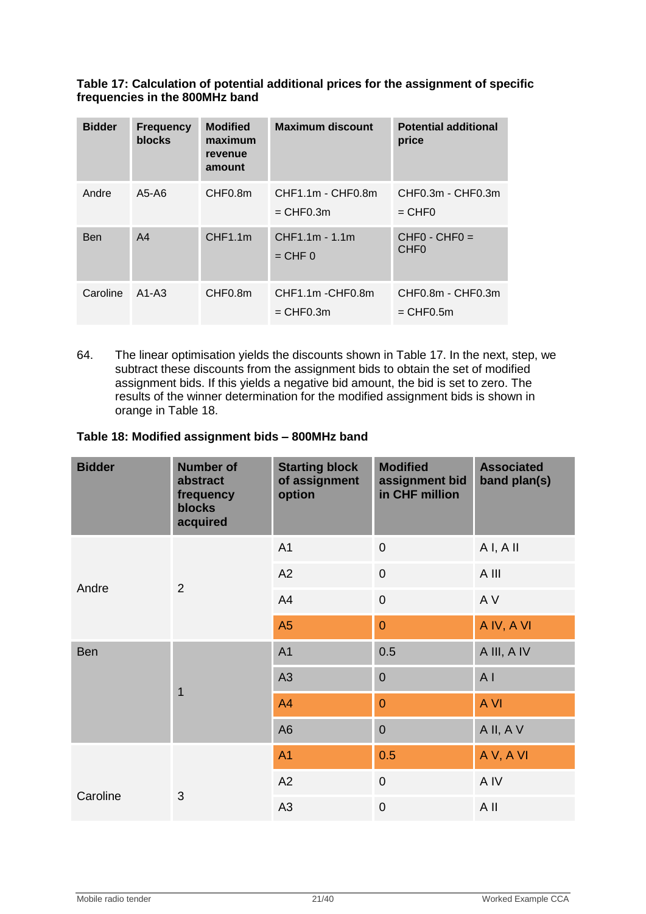### <span id="page-20-0"></span>**Table 17: Calculation of potential additional prices for the assignment of specific frequencies in the 800MHz band**

| <b>Bidder</b> | <b>Frequency</b><br><b>blocks</b> | <b>Modified</b><br>maximum<br>revenue<br>amount | <b>Maximum discount</b>            | <b>Potential additional</b><br>price      |
|---------------|-----------------------------------|-------------------------------------------------|------------------------------------|-------------------------------------------|
| Andre         | A5-A6                             | CHF <sub>0.8</sub> m                            | CHF1.1m - CHF0.8m<br>$=$ CHF0.3m   | CHF0.3m - CHF0.3m<br>$=$ CHF <sub>0</sub> |
| <b>Ben</b>    | A <sub>4</sub>                    | CHF1.1m                                         | CHF1.1m - 1.1m<br>$=$ CHF $\theta$ | $CHFO - CHFO =$<br>CHF <sub>0</sub>       |
| Caroline      | $A1-A3$                           | CHF <sub>0.8</sub> m                            | CHF1.1m-CHF0.8m<br>$=$ CHF0.3m     | CHF0.8m - CHF0.3m<br>$=$ CHF0.5m          |

64. The linear optimisation yields the discounts shown in [Table 17.](#page-20-0) In the next, step, we subtract these discounts from the assignment bids to obtain the set of modified assignment bids. If this yields a negative bid amount, the bid is set to zero. The results of the winner determination for the modified assignment bids is shown in orange in [Table 18.](#page-20-1)

# <span id="page-20-1"></span>**Table 18: Modified assignment bids – 800MHz band**

| <b>Bidder</b> | <b>Number of</b><br>abstract<br>frequency<br><b>blocks</b><br>acquired | <b>Starting block</b><br>of assignment<br>option | <b>Modified</b><br>assignment bid<br>in CHF million | <b>Associated</b><br>band plan(s) |
|---------------|------------------------------------------------------------------------|--------------------------------------------------|-----------------------------------------------------|-----------------------------------|
|               |                                                                        | A <sub>1</sub>                                   | $\mathbf 0$                                         | AI, AII                           |
|               |                                                                        | A2                                               | $\mathbf 0$                                         | A III                             |
| Andre         | $\overline{2}$                                                         | A4                                               | $\mathbf 0$                                         | A V                               |
|               |                                                                        | A5                                               | $\overline{0}$                                      | A IV, A VI                        |
| Ben           | $\overline{1}$                                                         | A <sub>1</sub>                                   | 0.5                                                 | A III, A IV                       |
|               |                                                                        | A3                                               | $\mathbf 0$                                         | A <sub>l</sub>                    |
|               |                                                                        | A4                                               | $\overline{0}$                                      | A VI                              |
|               |                                                                        | A <sub>6</sub>                                   | $\overline{0}$                                      | A II, A V                         |
|               |                                                                        | A <sub>1</sub>                                   | 0.5                                                 | AV, AVI                           |
|               |                                                                        | A2                                               | $\overline{0}$                                      | A IV                              |
| Caroline      | 3                                                                      | A <sub>3</sub>                                   | $\overline{0}$                                      | A II                              |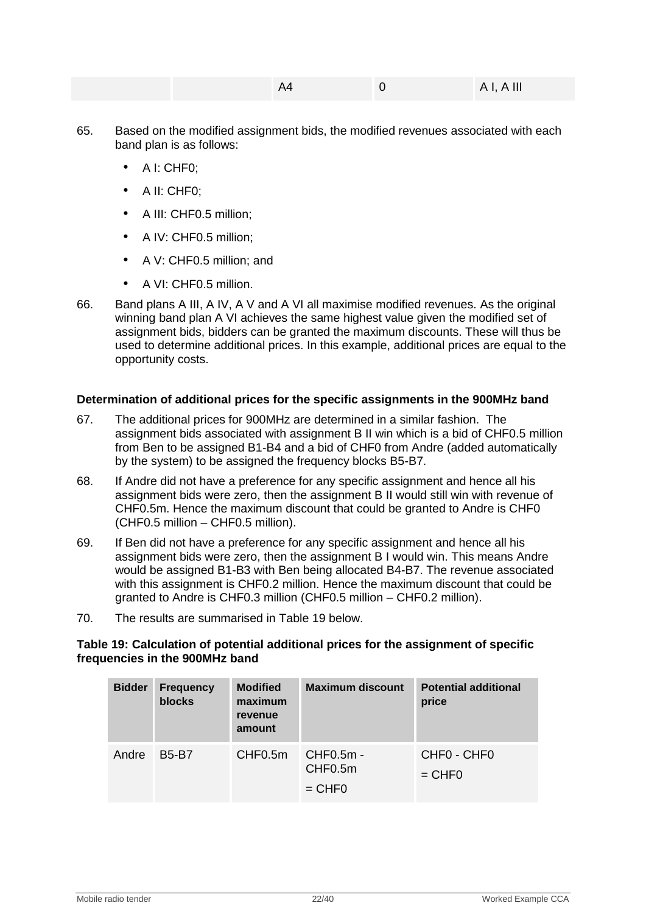|  | $A -$ | AI, AIII |
|--|-------|----------|
|  |       |          |

- 65. Based on the modified assignment bids, the modified revenues associated with each band plan is as follows:
	- A I: CHF0;
	- A II: CHF0;
	- A III: CHF0.5 million;
	- A IV: CHF0.5 million;
	- A V: CHF0.5 million; and
	- A VI: CHF0.5 million.
- 66. Band plans A III, A IV, A V and A VI all maximise modified revenues. As the original winning band plan A VI achieves the same highest value given the modified set of assignment bids, bidders can be granted the maximum discounts. These will thus be used to determine additional prices. In this example, additional prices are equal to the opportunity costs.

# **Determination of additional prices for the specific assignments in the 900MHz band**

- 67. The additional prices for 900MHz are determined in a similar fashion. The assignment bids associated with assignment B II win which is a bid of CHF0.5 million from Ben to be assigned B1-B4 and a bid of CHF0 from Andre (added automatically by the system) to be assigned the frequency blocks B5-B7.
- 68. If Andre did not have a preference for any specific assignment and hence all his assignment bids were zero, then the assignment B II would still win with revenue of CHF0.5m. Hence the maximum discount that could be granted to Andre is CHF0 (CHF0.5 million – CHF0.5 million).
- 69. If Ben did not have a preference for any specific assignment and hence all his assignment bids were zero, then the assignment B I would win. This means Andre would be assigned B1-B3 with Ben being allocated B4-B7. The revenue associated with this assignment is CHF0.2 million. Hence the maximum discount that could be granted to Andre is CHF0.3 million (CHF0.5 million – CHF0.2 million).
- 70. The results are summarised in [Table 19](#page-21-0) below.

#### <span id="page-21-0"></span>**Table 19: Calculation of potential additional prices for the assignment of specific frequencies in the 900MHz band**

| <b>Bidder</b> | <b>Frequency</b><br>blocks | <b>Modified</b><br>maximum<br>revenue<br>amount | <b>Maximum discount</b>                       | <b>Potential additional</b><br>price |
|---------------|----------------------------|-------------------------------------------------|-----------------------------------------------|--------------------------------------|
| Andre         | <b>B5-B7</b>               | CHF0.5m                                         | CHF0.5m -<br>CHF <sub>0.5</sub> m<br>$=$ CHF0 | CHFO - CHFO<br>$=$ CHF0              |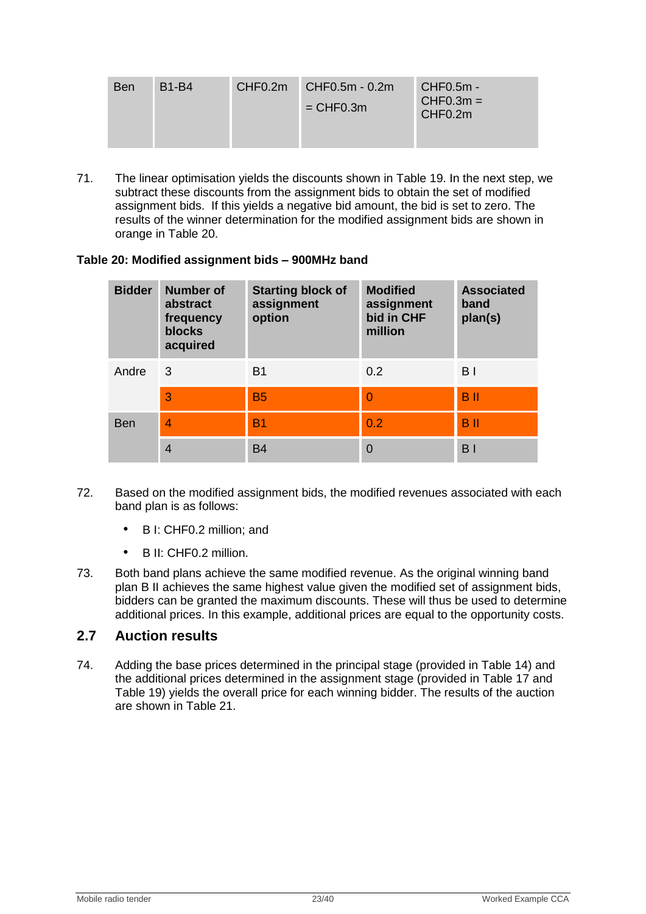| <b>Ben</b> | <b>B1-B4</b> | CHF0.2m | $CHF0.5m - 0.2m$ | CHF0.5m -                          |
|------------|--------------|---------|------------------|------------------------------------|
|            |              |         | $=$ CHF0.3m      | $CHF0.3m =$<br>CHF <sub>0.2m</sub> |
|            |              |         |                  |                                    |

71. The linear optimisation yields the discounts shown in [Table 19.](#page-21-0) In the next step, we subtract these discounts from the assignment bids to obtain the set of modified assignment bids. If this yields a negative bid amount, the bid is set to zero. The results of the winner determination for the modified assignment bids are shown in orange in [Table 20.](#page-22-1)

#### <span id="page-22-1"></span>**Table 20: Modified assignment bids – 900MHz band**

| <b>Bidder</b> | Number of<br>abstract<br>frequency<br><b>blocks</b><br>acquired | <b>Starting block of</b><br>assignment<br>option | <b>Modified</b><br>assignment<br>bid in CHF<br>million | <b>Associated</b><br>band<br>plan(s) |
|---------------|-----------------------------------------------------------------|--------------------------------------------------|--------------------------------------------------------|--------------------------------------|
| Andre         | 3                                                               | B <sub>1</sub>                                   | 0.2                                                    | B <sub>1</sub>                       |
|               | 3                                                               | <b>B5</b>                                        | $\overline{0}$                                         | <b>B</b> <sub>II</sub>               |
| <b>Ben</b>    | 4                                                               | <b>B1</b>                                        | 0.2                                                    | <b>B</b> <sub>II</sub>               |
|               | $\overline{4}$                                                  | <b>B4</b>                                        | 0                                                      | B <sub>1</sub>                       |

- 72. Based on the modified assignment bids, the modified revenues associated with each band plan is as follows:
	- B I: CHF0.2 million; and
	- B II: CHF0.2 million.
- 73. Both band plans achieve the same modified revenue. As the original winning band plan B II achieves the same highest value given the modified set of assignment bids, bidders can be granted the maximum discounts. These will thus be used to determine additional prices. In this example, additional prices are equal to the opportunity costs.

# <span id="page-22-0"></span>**2.7 Auction results**

74. Adding the base prices determined in the principal stage (provided in [Table 14\)](#page-15-1) and the additional prices determined in the assignment stage (provided in [Table 17](#page-20-0) and [Table 19\)](#page-21-0) yields the overall price for each winning bidder. The results of the auction are shown in Table 21.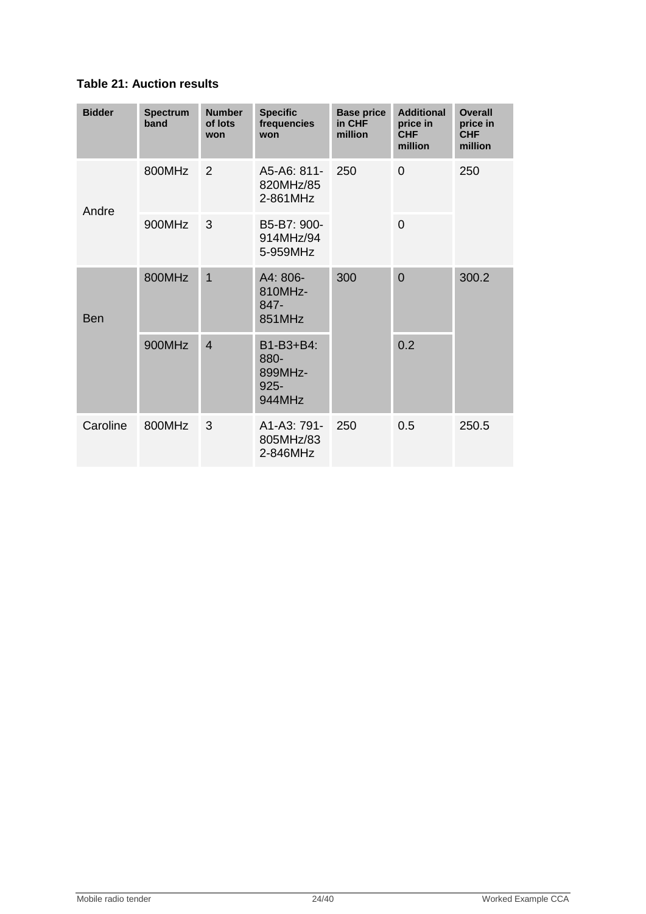# **Table 21: Auction results**

| <b>Bidder</b> | <b>Spectrum</b><br>band | <b>Number</b><br>of lots<br>won | <b>Specific</b><br>frequencies<br>won             | <b>Base price</b><br>in CHF<br>million | <b>Additional</b><br>price in<br><b>CHF</b><br>million | <b>Overall</b><br>price in<br><b>CHF</b><br>million |
|---------------|-------------------------|---------------------------------|---------------------------------------------------|----------------------------------------|--------------------------------------------------------|-----------------------------------------------------|
| Andre         | 800MHz                  | $\overline{2}$                  | A5-A6: 811-<br>820MHz/85<br>2-861MHz              | 250                                    | $\overline{0}$                                         | 250                                                 |
|               | 900MHz                  | 3                               | B5-B7: 900-<br>914MHz/94<br>5-959MHz              |                                        | $\Omega$                                               |                                                     |
| Ben           | 800MHz                  | $\overline{1}$                  | A4: 806-<br>810MHz-<br>847-<br>851MHz             | 300                                    | $\overline{0}$                                         | 300.2                                               |
|               | 900MHz                  | $\overline{4}$                  | B1-B3+B4:<br>880-<br>899MHz-<br>$925 -$<br>944MHz |                                        | 0.2                                                    |                                                     |
| Caroline      | 800MHz                  | 3                               | A1-A3: 791-<br>805MHz/83<br>2-846MHz              | 250                                    | 0.5                                                    | 250.5                                               |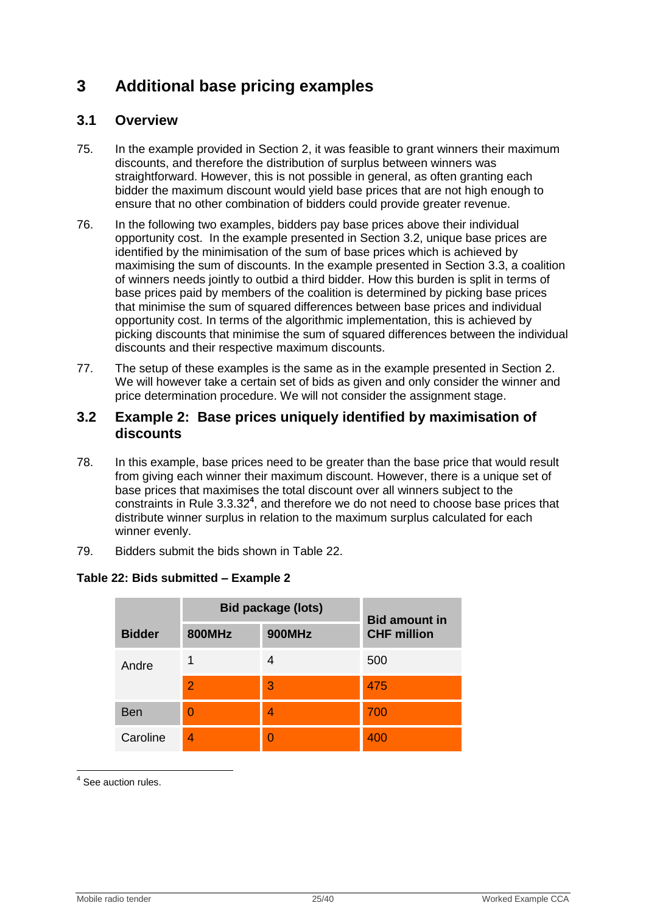# <span id="page-24-0"></span>**3 Additional base pricing examples**

# <span id="page-24-1"></span>**3.1 Overview**

- 75. In the example provided in Section [2,](#page-2-1) it was feasible to grant winners their maximum discounts, and therefore the distribution of surplus between winners was straightforward. However, this is not possible in general, as often granting each bidder the maximum discount would yield base prices that are not high enough to ensure that no other combination of bidders could provide greater revenue.
- 76. In the following two examples, bidders pay base prices above their individual opportunity cost. In the example presented in Section [3.2,](#page-24-2) unique base prices are identified by the minimisation of the sum of base prices which is achieved by maximising the sum of discounts. In the example presented in Section [3.3,](#page-32-0) a coalition of winners needs jointly to outbid a third bidder. How this burden is split in terms of base prices paid by members of the coalition is determined by picking base prices that minimise the sum of squared differences between base prices and individual opportunity cost. In terms of the algorithmic implementation, this is achieved by picking discounts that minimise the sum of squared differences between the individual discounts and their respective maximum discounts.
- 77. The setup of these examples is the same as in the example presented in Section [2.](#page-2-1) We will however take a certain set of bids as given and only consider the winner and price determination procedure. We will not consider the assignment stage.

# <span id="page-24-2"></span>**3.2 Example 2: Base prices uniquely identified by maximisation of discounts**

- 78. In this example, base prices need to be greater than the base price that would result from giving each winner their maximum discount. However, there is a unique set of base prices that maximises the total discount over all winners subject to the constraints in Rule 3.3.32**<sup>4</sup>** , and therefore we do not need to choose base prices that distribute winner surplus in relation to the maximum surplus calculated for each winner evenly.
- 79. Bidders submit the bids shown in [Table 22.](#page-24-3)

|               | <b>Bid package (lots)</b> | <b>Bid amount in</b> |                    |  |
|---------------|---------------------------|----------------------|--------------------|--|
| <b>Bidder</b> | <b>800MHz</b>             | <b>900MHz</b>        | <b>CHF million</b> |  |
| Andre         |                           |                      | 500                |  |
|               | $\overline{2}$            | 3                    | 475                |  |
| <b>Ben</b>    | $\Omega$                  | 4                    | 700                |  |
| Caroline      | 4                         |                      | 400                |  |

# <span id="page-24-3"></span>**Table 22: Bids submitted – Example 2**

1 <sup>4</sup> See auction rules.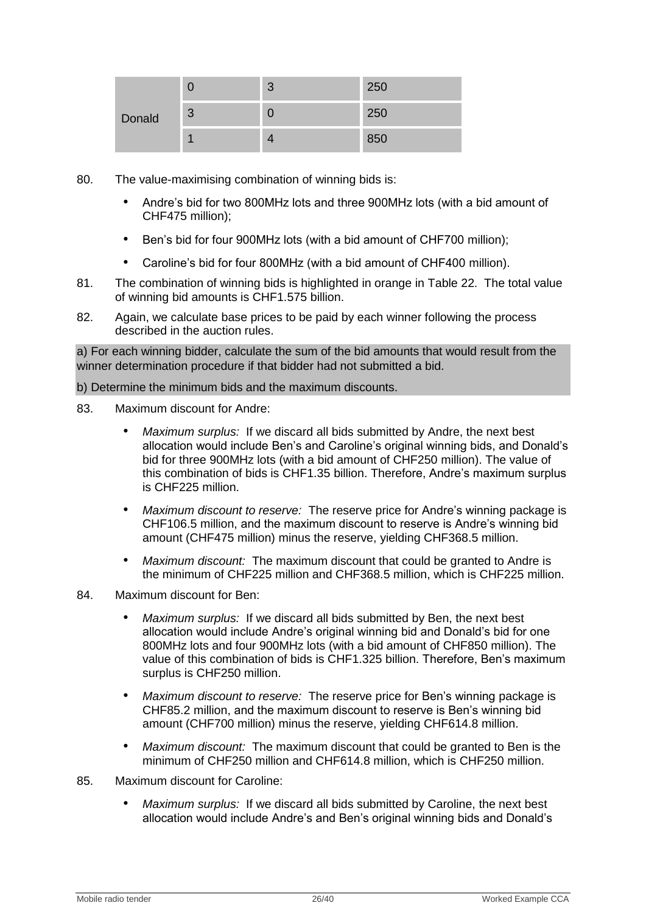|        |   | $\sqrt{2}$ | 250 |
|--------|---|------------|-----|
| Donald | 3 |            | 250 |
|        |   |            | 850 |

- 80. The value-maximising combination of winning bids is:
	- Andre"s bid for two 800MHz lots and three 900MHz lots (with a bid amount of CHF475 million);
	- Ben"s bid for four 900MHz lots (with a bid amount of CHF700 million);
	- Caroline"s bid for four 800MHz (with a bid amount of CHF400 million).
- 81. The combination of winning bids is highlighted in orange in [Table 22.](#page-24-3) The total value of winning bid amounts is CHF1.575 billion.
- 82. Again, we calculate base prices to be paid by each winner following the process described in the auction rules.

a) For each winning bidder, calculate the sum of the bid amounts that would result from the winner determination procedure if that bidder had not submitted a bid.

#### b) Determine the minimum bids and the maximum discounts.

- 83. Maximum discount for Andre:
	- *Maximum surplus:* If we discard all bids submitted by Andre, the next best allocation would include Ben"s and Caroline"s original winning bids, and Donald"s bid for three 900MHz lots (with a bid amount of CHF250 million). The value of this combination of bids is CHF1.35 billion. Therefore, Andre's maximum surplus is CHF225 million.
	- *Maximum discount to reserve:* The reserve price for Andre"s winning package is CHF106.5 million, and the maximum discount to reserve is Andre"s winning bid amount (CHF475 million) minus the reserve, yielding CHF368.5 million.
	- *Maximum discount:* The maximum discount that could be granted to Andre is the minimum of CHF225 million and CHF368.5 million, which is CHF225 million.
- 84. Maximum discount for Ben:
	- *Maximum surplus:* If we discard all bids submitted by Ben, the next best allocation would include Andre"s original winning bid and Donald"s bid for one 800MHz lots and four 900MHz lots (with a bid amount of CHF850 million). The value of this combination of bids is CHF1.325 billion. Therefore, Ben"s maximum surplus is CHF250 million.
	- *Maximum discount to reserve:* The reserve price for Ben"s winning package is CHF85.2 million, and the maximum discount to reserve is Ben"s winning bid amount (CHF700 million) minus the reserve, yielding CHF614.8 million.
	- *Maximum discount:* The maximum discount that could be granted to Ben is the minimum of CHF250 million and CHF614.8 million, which is CHF250 million.
- 85. Maximum discount for Caroline:
	- *Maximum surplus:* If we discard all bids submitted by Caroline, the next best allocation would include Andre's and Ben's original winning bids and Donald's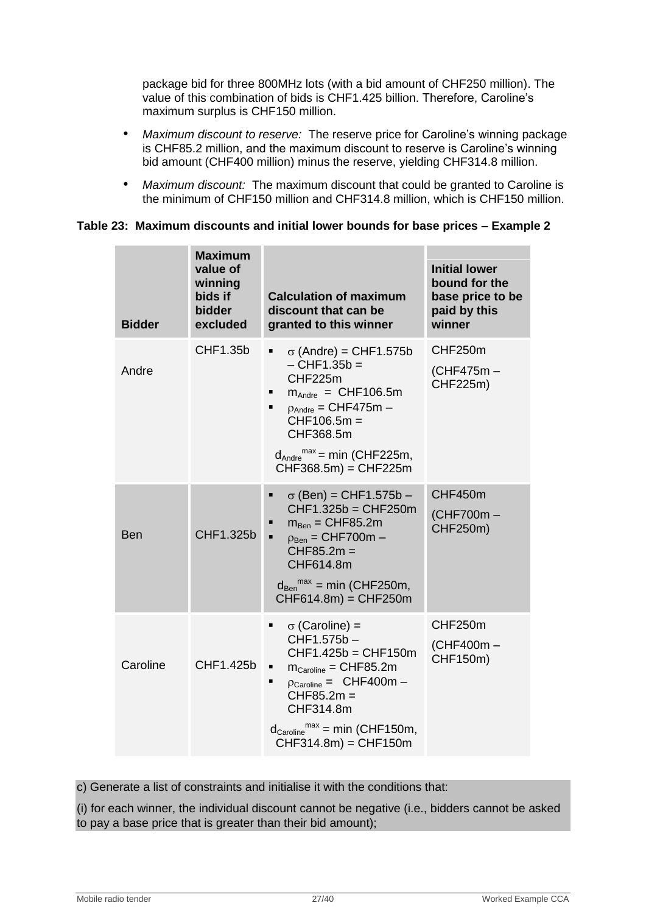package bid for three 800MHz lots (with a bid amount of CHF250 million). The value of this combination of bids is CHF1.425 billion. Therefore, Caroline"s maximum surplus is CHF150 million.

- *Maximum discount to reserve:* The reserve price for Caroline"s winning package is CHF85.2 million, and the maximum discount to reserve is Caroline"s winning bid amount (CHF400 million) minus the reserve, yielding CHF314.8 million.
- *Maximum discount:* The maximum discount that could be granted to Caroline is the minimum of CHF150 million and CHF314.8 million, which is CHF150 million.

### **Table 23: Maximum discounts and initial lower bounds for base prices – Example 2**

| <b>Bidder</b> | <b>Maximum</b><br>value of<br>winning<br>bids if<br>bidder<br>excluded | <b>Calculation of maximum</b><br>discount that can be<br>granted to this winner                                                                                                                                                                                                        | <b>Initial lower</b><br>bound for the<br>base price to be<br>paid by this<br>winner |
|---------------|------------------------------------------------------------------------|----------------------------------------------------------------------------------------------------------------------------------------------------------------------------------------------------------------------------------------------------------------------------------------|-------------------------------------------------------------------------------------|
| Andre         | CHF1.35b                                                               | $\sigma$ (Andre) = CHF1.575b<br>Ξ<br>$-$ CHF1.35b $=$<br>CHF225m<br>$m_{Andre} = CHF106.5m$<br>п<br>$p_{Andre} = CHF475m -$<br>$CHF106.5m =$<br>CHF368.5m<br>$d_{\text{Andre}}^{\text{max}}$ = min (CHF225m,<br>CHF368.5m) = CHF225m                                                   | CHF250m<br>(CHF475m-<br>CHF225m)                                                    |
| <b>Ben</b>    | CHF1.325b                                                              | $\sigma$ (Ben) = CHF1.575b –<br>٠<br>CHF1.325b = CHF250m<br>$m_{Ben} = CHF85.2m$<br>٠<br>$\blacksquare$<br>$\rho_{\text{Ben}} =$ CHF700m –<br>$CHF85.2m =$<br>CHF614.8m<br>$d_{\text{Ben}}^{\text{max}}$ = min (CHF250m,<br>CHF614.8m) = CHF250m                                       | CHF450m<br>(CHF700m-<br>CHF250m)                                                    |
| Caroline      | CHF1.425b                                                              | $\sigma$ (Caroline) =<br>٠<br>CHF1.575b-<br>CHF1.425b = CHF150m<br>$m_{\text{Caroline}} = \text{CHF85.2m}$<br>٠<br>$\rho_{\text{Caroline}} = \text{CHF400m} -$<br>п<br>$CHF85.2m =$<br>CHF314.8m<br>$d_{\text{Caroline}}^{\text{max}} = \text{min}$ (CHF150m,<br>$CHF314.8m$ = CHF150m | CHF250m<br>(CHF400m-<br>CHF150m)                                                    |

c) Generate a list of constraints and initialise it with the conditions that:

(i) for each winner, the individual discount cannot be negative (i.e., bidders cannot be asked to pay a base price that is greater than their bid amount);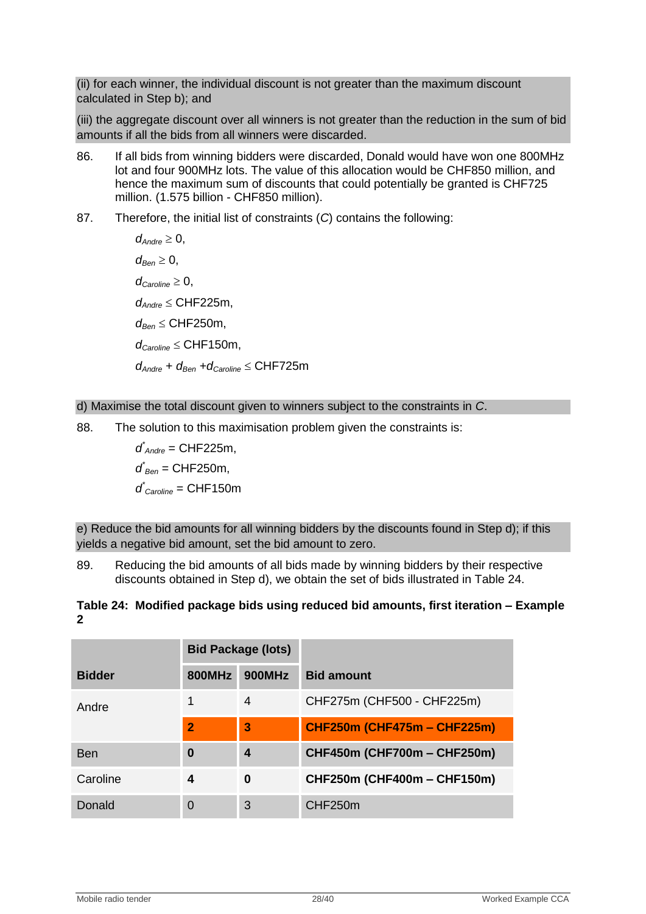(ii) for each winner, the individual discount is not greater than the maximum discount calculated in Step b); and

(iii) the aggregate discount over all winners is not greater than the reduction in the sum of bid amounts if all the bids from all winners were discarded.

- 86. If all bids from winning bidders were discarded, Donald would have won one 800MHz lot and four 900MHz lots. The value of this allocation would be CHF850 million, and hence the maximum sum of discounts that could potentially be granted is CHF725 million. (1.575 billion - CHF850 million).
- 87. Therefore, the initial list of constraints (*C*) contains the following:

 $d_{\text{Andre}} \geq 0$ ,  $d_{\text{Ben}} \geq 0$ ,  $d_{\text{Carnline}} \geq 0$ , *dAndre* CHF225m,  $d_{Ben} \leq$  CHF250m,  $d_{Cardine} \leq$  CHF150m,  $d_{\text{Andre}} + d_{\text{Ben}} + d_{\text{Caroline}} \leq \text{CHF725m}$ 

#### d) Maximise the total discount given to winners subject to the constraints in *C*.

88. The solution to this maximisation problem given the constraints is:

*d \* Andre* = CHF225m, *d \* Ben* = CHF250m, *d \* Caroline* = CHF150m

e) Reduce the bid amounts for all winning bidders by the discounts found in Step d); if this yields a negative bid amount, set the bid amount to zero.

89. Reducing the bid amounts of all bids made by winning bidders by their respective discounts obtained in Step d), we obtain the set of bids illustrated in [Table 24.](#page-27-0)

# <span id="page-27-0"></span>**Table 24: Modified package bids using reduced bid amounts, first iteration – Example 2**

|               | <b>Bid Package (lots)</b> |               |                                    |
|---------------|---------------------------|---------------|------------------------------------|
| <b>Bidder</b> | <b>800MHz</b>             | <b>900MHz</b> | <b>Bid amount</b>                  |
| Andre         |                           | 4             | CHF275m (CHF500 - CHF225m)         |
|               | $\overline{2}$            | 3             | <b>CHF250m (CHF475m - CHF225m)</b> |
| Ben           | $\bf{0}$                  | 4             | CHF450m (CHF700m - CHF250m)        |
| Caroline      | 4                         | 0             | CHF250m (CHF400m - CHF150m)        |
| Donald        | $\Omega$                  | 3             | CHF250m                            |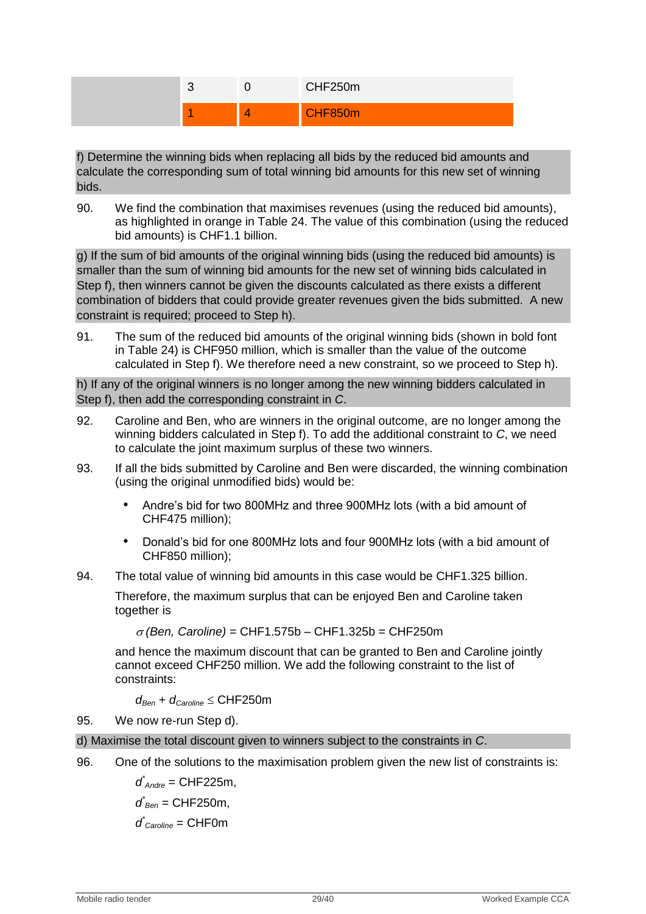

f) Determine the winning bids when replacing all bids by the reduced bid amounts and calculate the corresponding sum of total winning bid amounts for this new set of winning bids.

90. We find the combination that maximises revenues (using the reduced bid amounts), as highlighted in orange in [Table 24.](#page-27-0) The value of this combination (using the reduced bid amounts) is CHF1.1 billion.

g) If the sum of bid amounts of the original winning bids (using the reduced bid amounts) is smaller than the sum of winning bid amounts for the new set of winning bids calculated in Step f), then winners cannot be given the discounts calculated as there exists a different combination of bidders that could provide greater revenues given the bids submitted. A new constraint is required; proceed to Step h).

91. The sum of the reduced bid amounts of the original winning bids (shown in bold font in [Table 24\)](#page-27-0) is CHF950 million, which is smaller than the value of the outcome calculated in Step f). We therefore need a new constraint, so we proceed to Step h).

h) If any of the original winners is no longer among the new winning bidders calculated in Step f), then add the corresponding constraint in *C*.

- 92. Caroline and Ben, who are winners in the original outcome, are no longer among the winning bidders calculated in Step f). To add the additional constraint to *C*, we need to calculate the joint maximum surplus of these two winners.
- 93. If all the bids submitted by Caroline and Ben were discarded, the winning combination (using the original unmodified bids) would be:
	- Andre"s bid for two 800MHz and three 900MHz lots (with a bid amount of CHF475 million);
	- Donald"s bid for one 800MHz lots and four 900MHz lots (with a bid amount of CHF850 million);
- 94. The total value of winning bid amounts in this case would be CHF1.325 billion.

Therefore, the maximum surplus that can be enjoyed Ben and Caroline taken together is

 $\sigma$  (Ben, Caroline) = CHF1.575b – CHF1.325b = CHF250m

and hence the maximum discount that can be granted to Ben and Caroline jointly cannot exceed CHF250 million. We add the following constraint to the list of constraints:

 $d_{\text{Ben}} + d_{\text{Caroline}} \leq \text{CHF250m}$ 

95. We now re-run Step d).

- d) Maximise the total discount given to winners subject to the constraints in *C*.
- 96. One of the solutions to the maximisation problem given the new list of constraints is:

*d \* Andre* = CHF225m,

 $d$ <sup> $*$ </sup><sub>*Ben*</sub> = CHF250m,

$$
d^{\star}_{\textit{Caroline}} = \text{CHF0m}
$$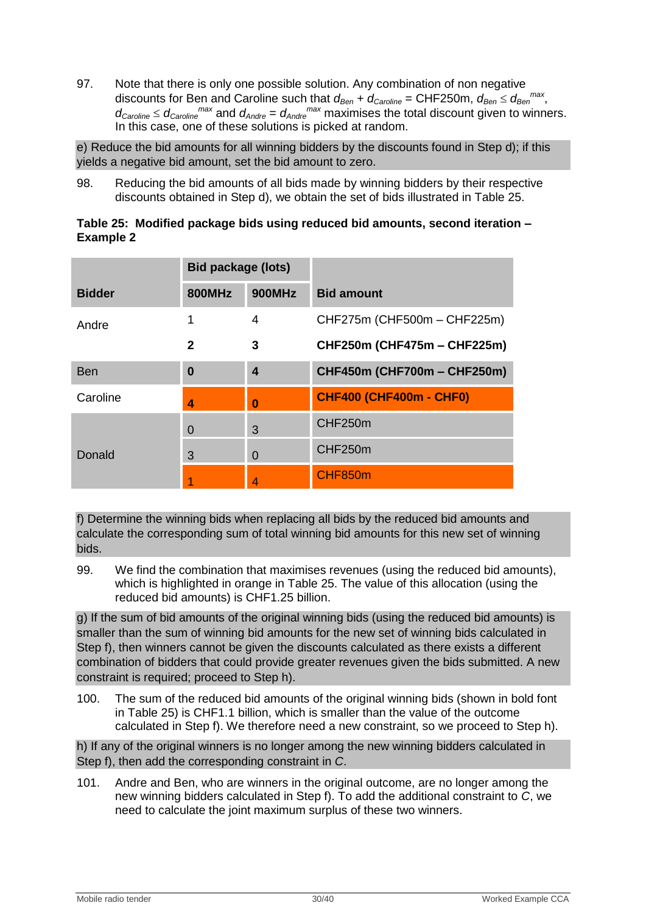97. Note that there is only one possible solution. Any combination of non negative discounts for Ben and Caroline such that  $d_{Ben} + d_{Caroline} = \text{CHF250m}$ ,  $d_{Ben} \leq d_{Ben}^{max}$ ,  $d_{\text{Caroline}} \leq d_{\text{Caroline}}^{\text{max}}$  and  $d_{\text{Andre}} = d_{\text{Andre}}^{\text{max}}$  maximises the total discount given to winners. In this case, one of these solutions is picked at random.

e) Reduce the bid amounts for all winning bidders by the discounts found in Step d); if this yields a negative bid amount, set the bid amount to zero.

98. Reducing the bid amounts of all bids made by winning bidders by their respective discounts obtained in Step d), we obtain the set of bids illustrated in [Table 25.](#page-29-0)

<span id="page-29-0"></span>

|                  | Table 25: Modified package bids using reduced bid amounts, second iteration - |  |
|------------------|-------------------------------------------------------------------------------|--|
| <b>Example 2</b> |                                                                               |  |

|               | <b>Bid package (lots)</b> |                  |                                |  |
|---------------|---------------------------|------------------|--------------------------------|--|
| <b>Bidder</b> | <b>800MHz</b>             | <b>900MHz</b>    | <b>Bid amount</b>              |  |
| Andre         |                           | 4                | CHF275m (CHF500m - CHF225m)    |  |
|               | 2                         | 3                | CHF250m (CHF475m - CHF225m)    |  |
| <b>Ben</b>    | $\bf{0}$                  | $\boldsymbol{4}$ | CHF450m (CHF700m - CHF250m)    |  |
| Caroline      | 4                         | $\Omega$         | <b>CHF400 (CHF400m - CHF0)</b> |  |
|               | $\Omega$                  | 3                | CHF250m                        |  |
| Donald        | 3                         | 0                | CHF250m                        |  |
|               |                           | 4                | CHF850m                        |  |

f) Determine the winning bids when replacing all bids by the reduced bid amounts and calculate the corresponding sum of total winning bid amounts for this new set of winning bids.

99. We find the combination that maximises revenues (using the reduced bid amounts), which is highlighted in orange in [Table 25.](#page-29-0) The value of this allocation (using the reduced bid amounts) is CHF1.25 billion.

g) If the sum of bid amounts of the original winning bids (using the reduced bid amounts) is smaller than the sum of winning bid amounts for the new set of winning bids calculated in Step f), then winners cannot be given the discounts calculated as there exists a different combination of bidders that could provide greater revenues given the bids submitted. A new constraint is required; proceed to Step h).

100. The sum of the reduced bid amounts of the original winning bids (shown in bold font in [Table 25\)](#page-29-0) is CHF1.1 billion, which is smaller than the value of the outcome calculated in Step f). We therefore need a new constraint, so we proceed to Step h).

h) If any of the original winners is no longer among the new winning bidders calculated in Step f), then add the corresponding constraint in *C*.

101. Andre and Ben, who are winners in the original outcome, are no longer among the new winning bidders calculated in Step f). To add the additional constraint to *C*, we need to calculate the joint maximum surplus of these two winners.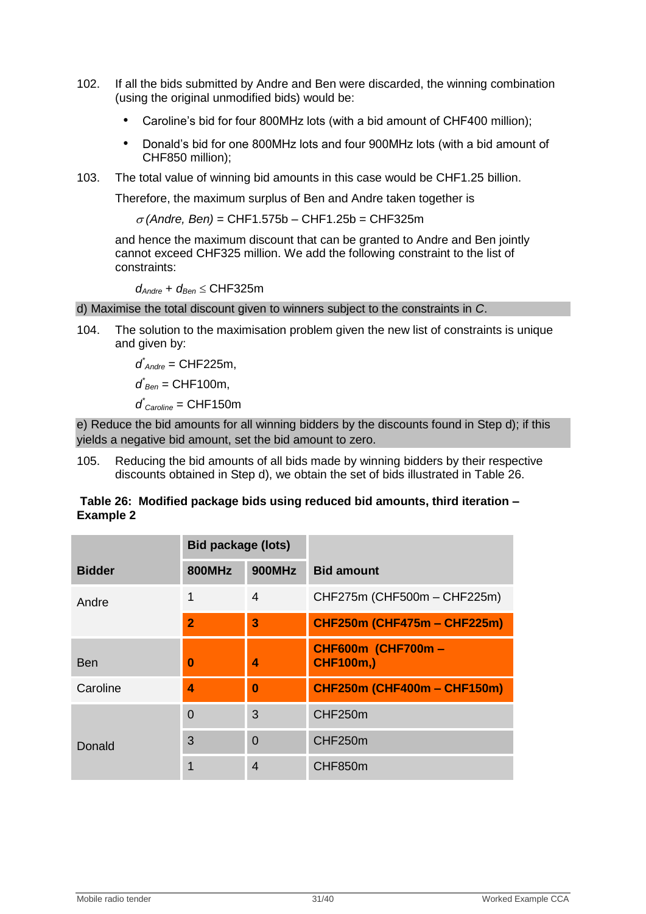- 102. If all the bids submitted by Andre and Ben were discarded, the winning combination (using the original unmodified bids) would be:
	- Caroline"s bid for four 800MHz lots (with a bid amount of CHF400 million);
	- Donald"s bid for one 800MHz lots and four 900MHz lots (with a bid amount of CHF850 million);
- 103. The total value of winning bid amounts in this case would be CHF1.25 billion.

Therefore, the maximum surplus of Ben and Andre taken together is

 $\sigma$  (Andre, Ben) = CHF1.575b – CHF1.25b = CHF325m

and hence the maximum discount that can be granted to Andre and Ben jointly cannot exceed CHF325 million. We add the following constraint to the list of constraints:

*dAndre* + *dBen* CHF325m

d) Maximise the total discount given to winners subject to the constraints in *C*.

104. The solution to the maximisation problem given the new list of constraints is unique and given by:

> *d \* Andre* = CHF225m, *d \* Ben* = CHF100m, *d \* Caroline* = CHF150m

e) Reduce the bid amounts for all winning bidders by the discounts found in Step d); if this yields a negative bid amount, set the bid amount to zero.

105. Reducing the bid amounts of all bids made by winning bidders by their respective discounts obtained in Step d), we obtain the set of bids illustrated in [Table 26.](#page-30-0)

#### <span id="page-30-0"></span>**Table 26: Modified package bids using reduced bid amounts, third iteration – Example 2**

|               | <b>Bid package (lots)</b> |                |                                               |
|---------------|---------------------------|----------------|-----------------------------------------------|
| <b>Bidder</b> | <b>800MHz</b>             | <b>900MHz</b>  | <b>Bid amount</b>                             |
| Andre         | 1                         | $\overline{4}$ | CHF275m (CHF500m - CHF225m)                   |
|               | $\overline{2}$            | 3              | <b>CHF250m (CHF475m - CHF225m)</b>            |
| <b>Ben</b>    | 0                         | 4              | <b>CHF600m (CHF700m -</b><br><b>CHF100m,)</b> |
| Caroline      | 4                         | $\bf{0}$       | <b>CHF250m (CHF400m - CHF150m)</b>            |
|               | 0                         | 3              | CHF250m                                       |
| Donald        | 3                         | $\overline{0}$ | CHF250m                                       |
|               | 1                         | $\overline{4}$ | CHF850m                                       |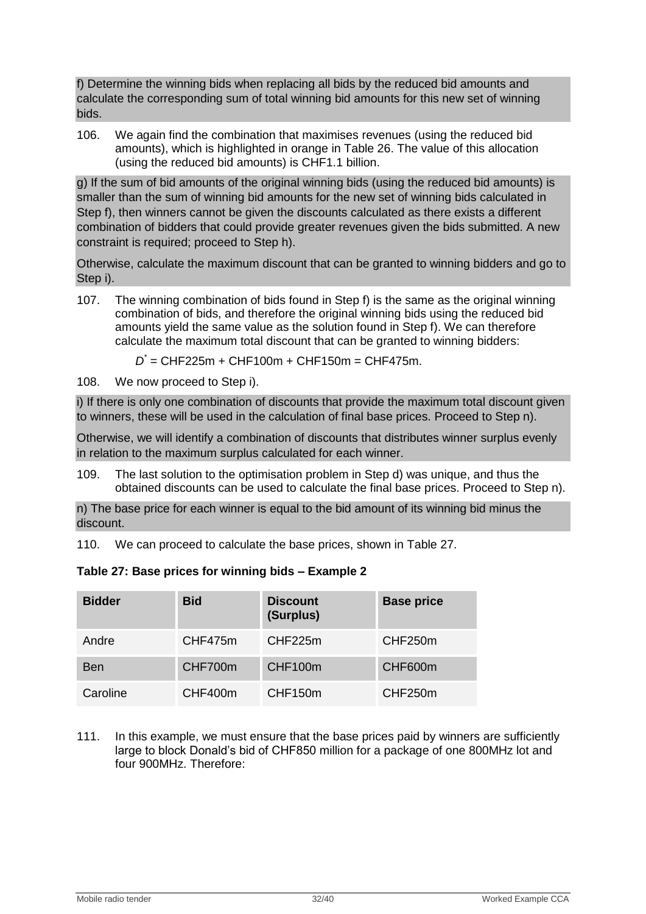f) Determine the winning bids when replacing all bids by the reduced bid amounts and calculate the corresponding sum of total winning bid amounts for this new set of winning bids.

106. We again find the combination that maximises revenues (using the reduced bid amounts), which is highlighted in orange in [Table 26.](#page-30-0) The value of this allocation (using the reduced bid amounts) is CHF1.1 billion.

g) If the sum of bid amounts of the original winning bids (using the reduced bid amounts) is smaller than the sum of winning bid amounts for the new set of winning bids calculated in Step f), then winners cannot be given the discounts calculated as there exists a different combination of bidders that could provide greater revenues given the bids submitted. A new constraint is required; proceed to Step h).

Otherwise, calculate the maximum discount that can be granted to winning bidders and go to Step i).

107. The winning combination of bids found in Step f) is the same as the original winning combination of bids, and therefore the original winning bids using the reduced bid amounts yield the same value as the solution found in Step f). We can therefore calculate the maximum total discount that can be granted to winning bidders:

*D \** = CHF225m + CHF100m + CHF150m = CHF475m.

108. We now proceed to Step i).

i) If there is only one combination of discounts that provide the maximum total discount given to winners, these will be used in the calculation of final base prices. Proceed to Step n).

Otherwise, we will identify a combination of discounts that distributes winner surplus evenly in relation to the maximum surplus calculated for each winner.

109. The last solution to the optimisation problem in Step d) was unique, and thus the obtained discounts can be used to calculate the final base prices. Proceed to Step n).

n) The base price for each winner is equal to the bid amount of its winning bid minus the discount.

110. We can proceed to calculate the base prices, shown in [Table 27.](#page-31-0)

<span id="page-31-0"></span>

|  |  |  |  |  |  | Table 27: Base prices for winning bids – Example 2 |
|--|--|--|--|--|--|----------------------------------------------------|
|--|--|--|--|--|--|----------------------------------------------------|

| <b>Bidder</b> | <b>Bid</b> | <b>Discount</b><br>(Surplus) | <b>Base price</b> |
|---------------|------------|------------------------------|-------------------|
| Andre         | CHF475m    | CHF225m                      | CHF250m           |
| <b>Ben</b>    | CHF700m    | CHF100m                      | CHF600m           |
| Caroline      | CHF400m    | CHF150m                      | CHF250m           |

111. In this example, we must ensure that the base prices paid by winners are sufficiently large to block Donald"s bid of CHF850 million for a package of one 800MHz lot and four 900MHz. Therefore: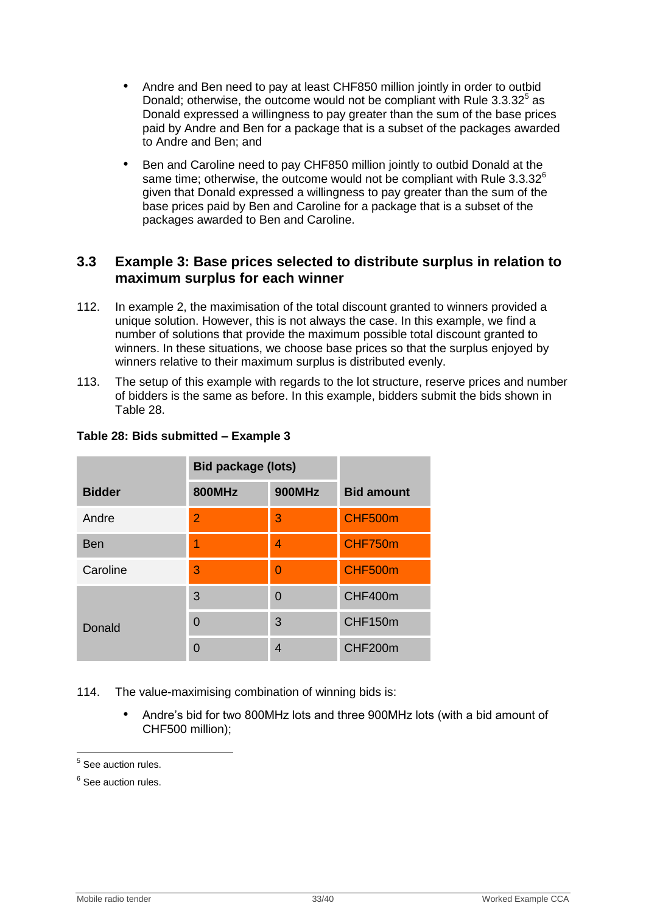- Andre and Ben need to pay at least CHF850 million jointly in order to outbid Donald; otherwise, the outcome would not be compliant with Rule  $3.3.32<sup>5</sup>$  as Donald expressed a willingness to pay greater than the sum of the base prices paid by Andre and Ben for a package that is a subset of the packages awarded to Andre and Ben; and
- Ben and Caroline need to pay CHF850 million jointly to outbid Donald at the same time; otherwise, the outcome would not be compliant with Rule  $3.3.32^{\circ}$ given that Donald expressed a willingness to pay greater than the sum of the base prices paid by Ben and Caroline for a package that is a subset of the packages awarded to Ben and Caroline.

# <span id="page-32-0"></span>**3.3 Example 3: Base prices selected to distribute surplus in relation to maximum surplus for each winner**

- 112. In example 2, the maximisation of the total discount granted to winners provided a unique solution. However, this is not always the case. In this example, we find a number of solutions that provide the maximum possible total discount granted to winners. In these situations, we choose base prices so that the surplus enjoyed by winners relative to their maximum surplus is distributed evenly.
- 113. The setup of this example with regards to the lot structure, reserve prices and number of bidders is the same as before. In this example, bidders submit the bids shown in [Table 28.](#page-32-1)

|               | <b>Bid package (lots)</b> |                |                   |
|---------------|---------------------------|----------------|-------------------|
| <b>Bidder</b> | <b>800MHz</b>             | <b>900MHz</b>  | <b>Bid amount</b> |
| Andre         | $\overline{2}$            | 3              | CHF500m           |
| <b>Ben</b>    |                           | 4              | CHF750m           |
| Caroline      | 3                         | $\overline{0}$ | <b>CHF500m</b>    |
| Donald        | 3                         | $\Omega$       | CHF400m           |
|               | $\Omega$                  | 3              | CHF150m           |
|               | $\Omega$                  | $\overline{4}$ | CHF200m           |

# <span id="page-32-1"></span>**Table 28: Bids submitted – Example 3**

114. The value-maximising combination of winning bids is:

• Andre"s bid for two 800MHz lots and three 900MHz lots (with a bid amount of CHF500 million);

 5 See auction rules.

<sup>&</sup>lt;sup>6</sup> See auction rules.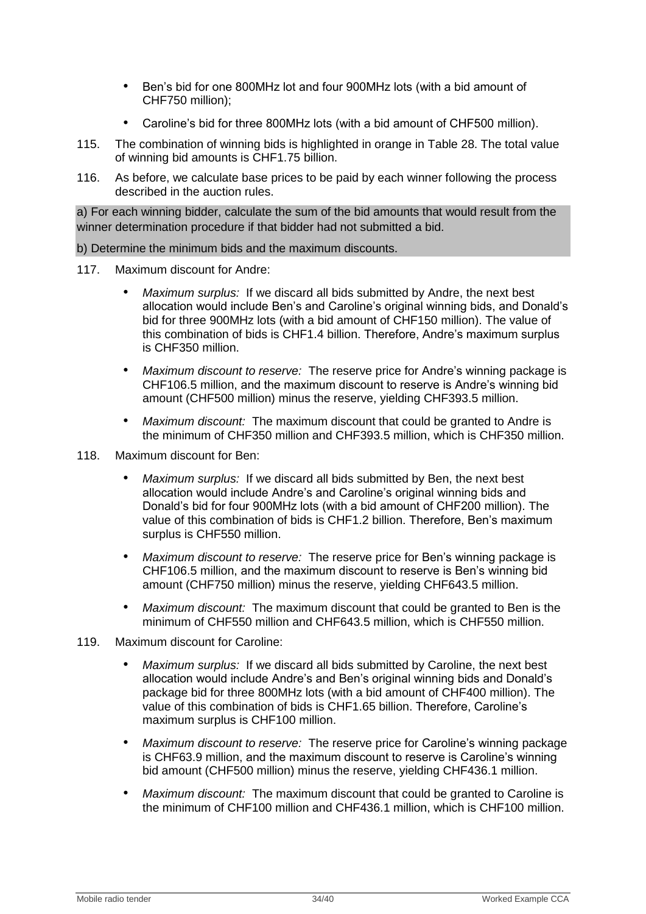- Ben"s bid for one 800MHz lot and four 900MHz lots (with a bid amount of CHF750 million);
- Caroline"s bid for three 800MHz lots (with a bid amount of CHF500 million).
- 115. The combination of winning bids is highlighted in orange in [Table 28.](#page-32-1) The total value of winning bid amounts is CHF1.75 billion.
- 116. As before, we calculate base prices to be paid by each winner following the process described in the auction rules.

a) For each winning bidder, calculate the sum of the bid amounts that would result from the winner determination procedure if that bidder had not submitted a bid.

b) Determine the minimum bids and the maximum discounts.

- 117. Maximum discount for Andre:
	- *Maximum surplus:* If we discard all bids submitted by Andre, the next best allocation would include Ben"s and Caroline"s original winning bids, and Donald"s bid for three 900MHz lots (with a bid amount of CHF150 million). The value of this combination of bids is CHF1.4 billion. Therefore, Andre"s maximum surplus is CHF350 million.
	- *Maximum discount to reserve:* The reserve price for Andre"s winning package is CHF106.5 million, and the maximum discount to reserve is Andre"s winning bid amount (CHF500 million) minus the reserve, yielding CHF393.5 million.
	- *Maximum discount:* The maximum discount that could be granted to Andre is the minimum of CHF350 million and CHF393.5 million, which is CHF350 million.
- 118. Maximum discount for Ben:
	- *Maximum surplus:* If we discard all bids submitted by Ben, the next best allocation would include Andre"s and Caroline"s original winning bids and Donald"s bid for four 900MHz lots (with a bid amount of CHF200 million). The value of this combination of bids is CHF1.2 billion. Therefore, Ben"s maximum surplus is CHF550 million.
	- *Maximum discount to reserve:* The reserve price for Ben"s winning package is CHF106.5 million, and the maximum discount to reserve is Ben"s winning bid amount (CHF750 million) minus the reserve, yielding CHF643.5 million.
	- *Maximum discount:* The maximum discount that could be granted to Ben is the minimum of CHF550 million and CHF643.5 million, which is CHF550 million.
- 119. Maximum discount for Caroline:
	- *Maximum surplus:* If we discard all bids submitted by Caroline, the next best allocation would include Andre"s and Ben"s original winning bids and Donald"s package bid for three 800MHz lots (with a bid amount of CHF400 million). The value of this combination of bids is CHF1.65 billion. Therefore, Caroline"s maximum surplus is CHF100 million.
	- *Maximum discount to reserve:* The reserve price for Caroline"s winning package is CHF63.9 million, and the maximum discount to reserve is Caroline"s winning bid amount (CHF500 million) minus the reserve, yielding CHF436.1 million.
	- *Maximum discount:* The maximum discount that could be granted to Caroline is the minimum of CHF100 million and CHF436.1 million, which is CHF100 million.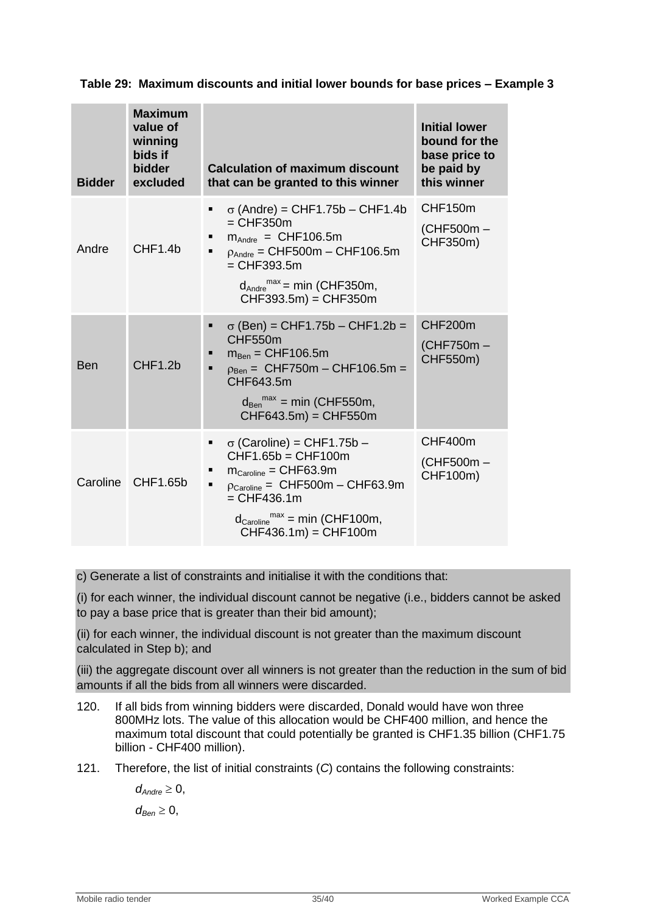| <b>Bidder</b> | <b>Maximum</b><br>value of<br>winning<br>bids if<br>bidder<br>excluded | <b>Calculation of maximum discount</b><br>that can be granted to this winner                                                                                                                                                                                         | <b>Initial lower</b><br>bound for the<br>base price to<br>be paid by<br>this winner |
|---------------|------------------------------------------------------------------------|----------------------------------------------------------------------------------------------------------------------------------------------------------------------------------------------------------------------------------------------------------------------|-------------------------------------------------------------------------------------|
| Andre         | CHF <sub>1.4b</sub>                                                    | $\sigma$ (Andre) = CHF1.75b – CHF1.4b<br>٠<br>$=$ CHF350 $m$<br>$m_{\text{Andre}} = \text{CHF106.5m}$<br>$p_{Andre} = CHF500m - CHF106.5m$<br>$=$ CHF393.5m<br>$d_{\text{Andre}}^{\text{max}} = \text{min}$ (CHF350m,<br>$CHF393.5m$ = CHF350m                       | CHF150m<br>(CHF500m-<br>CHF350m)                                                    |
| <b>Ben</b>    | CHF1.2b                                                                | $\sigma$ (Ben) = CHF1.75b – CHF1.2b =<br>CHF550m<br>$m_{\text{Ben}} =$ CHF106.5m<br>$p_{\text{Ben}} =$ CHF750m - CHF106.5m =<br>п<br>CHF643.5m<br>$d_{\text{Ben}}^{\text{max}}$ = min (CHF550m,<br>CHF643.5m) = CHF550m                                              | CHF200m<br>(CHF750m-<br>CHF550m)                                                    |
| Caroline      | CHF1.65b                                                               | $\sigma$ (Caroline) = CHF1.75b –<br>$CHF1.65b = CHF100m$<br>$m_{\text{Caroline}} = \text{CHF63.9m}$<br>$p_{\text{Caroline}} =$ CHF500m - CHF63.9m<br>$\blacksquare$<br>$=$ CHF436.1m<br>$d_{\text{Caroline}}^{\text{max}}$ = min (CHF100m,<br>$CHF436.1m) = CHF100m$ | CHF400m<br>(CHF500m-<br>CHF100m)                                                    |

**Table 29: Maximum discounts and initial lower bounds for base prices – Example 3**

c) Generate a list of constraints and initialise it with the conditions that:

(i) for each winner, the individual discount cannot be negative (i.e., bidders cannot be asked to pay a base price that is greater than their bid amount);

(ii) for each winner, the individual discount is not greater than the maximum discount calculated in Step b); and

(iii) the aggregate discount over all winners is not greater than the reduction in the sum of bid amounts if all the bids from all winners were discarded.

- 120. If all bids from winning bidders were discarded, Donald would have won three 800MHz lots. The value of this allocation would be CHF400 million, and hence the maximum total discount that could potentially be granted is CHF1.35 billion (CHF1.75 billion - CHF400 million).
- 121. Therefore, the list of initial constraints (*C*) contains the following constraints:

 $d_{Andre} \geq 0$ ,  $d_{\text{Ben}} \geq 0$ ,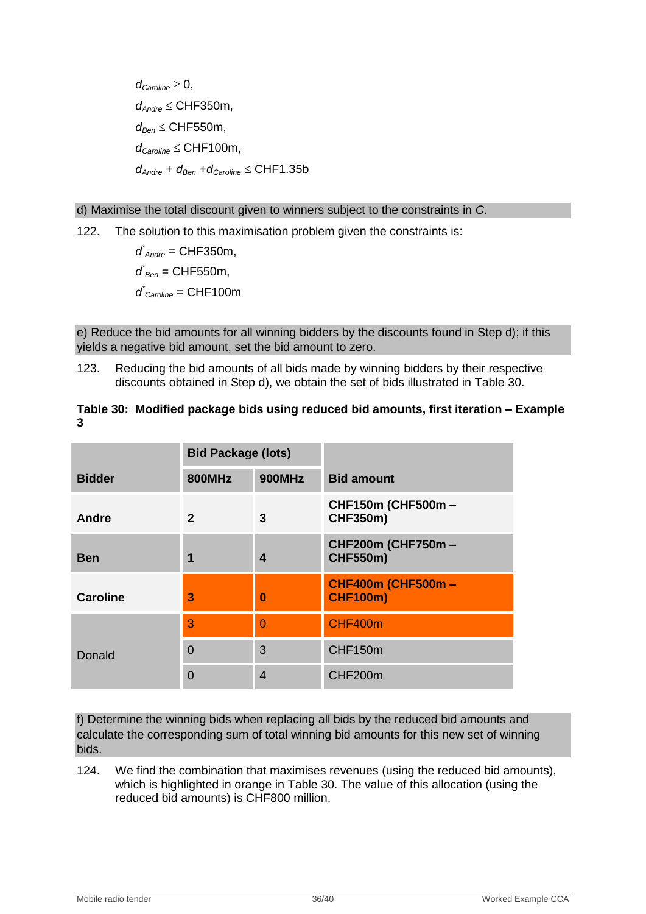$d_{\text{Carnline}} \geq 0$ , *dAndre* CHF350m, *d*<sub>Ben</sub> ≤ CHF550m,  $d_{\text{Caroline}} \leq \text{CHF100m}$ ,  $d_{\text{Andre}} + d_{\text{Ben}} + d_{\text{Canoline}} \leq \text{CHF1.35b}$ 

d) Maximise the total discount given to winners subject to the constraints in *C*.

122. The solution to this maximisation problem given the constraints is:

*d \* Andre* = CHF350m,  $d$ <sup> $*$ </sup><sub>Ben</sub> = CHF550m, *d \* Caroline* = CHF100m

e) Reduce the bid amounts for all winning bidders by the discounts found in Step d); if this yields a negative bid amount, set the bid amount to zero.

123. Reducing the bid amounts of all bids made by winning bidders by their respective discounts obtained in Step d), we obtain the set of bids illustrated in [Table 30.](#page-35-0)

<span id="page-35-0"></span>

| Table 30: Modified package bids using reduced bid amounts, first iteration – Example |  |  |
|--------------------------------------------------------------------------------------|--|--|
|                                                                                      |  |  |

|                 | <b>Bid Package (lots)</b> |                |                                              |  |
|-----------------|---------------------------|----------------|----------------------------------------------|--|
| <b>Bidder</b>   | <b>800MHz</b>             | <b>900MHz</b>  | <b>Bid amount</b>                            |  |
| <b>Andre</b>    | $\mathbf{2}$              | 3              | <b>CHF150m (CHF500m -</b><br><b>CHF350m)</b> |  |
| <b>Ben</b>      | 1                         | 4              | <b>CHF200m (CHF750m -</b><br><b>CHF550m)</b> |  |
| <b>Caroline</b> | 3                         | $\bf{0}$       | <b>CHF400m (CHF500m -</b><br><b>CHF100m)</b> |  |
|                 | 3                         | $\overline{0}$ | CHF400m                                      |  |
| Donald          | $\overline{0}$            | 3              | CHF150m                                      |  |
|                 | $\overline{0}$            | $\overline{4}$ | CHF200m                                      |  |

f) Determine the winning bids when replacing all bids by the reduced bid amounts and calculate the corresponding sum of total winning bid amounts for this new set of winning bids.

124. We find the combination that maximises revenues (using the reduced bid amounts), which is highlighted in orange in [Table 30.](#page-35-0) The value of this allocation (using the reduced bid amounts) is CHF800 million.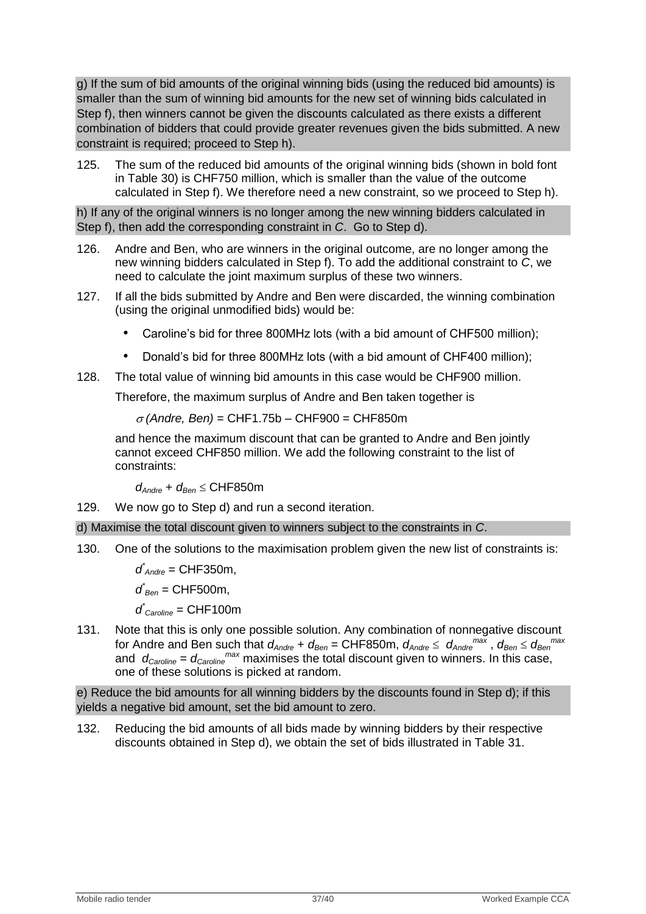g) If the sum of bid amounts of the original winning bids (using the reduced bid amounts) is smaller than the sum of winning bid amounts for the new set of winning bids calculated in Step f), then winners cannot be given the discounts calculated as there exists a different combination of bidders that could provide greater revenues given the bids submitted. A new constraint is required; proceed to Step h).

125. The sum of the reduced bid amounts of the original winning bids (shown in bold font in [Table 30\)](#page-35-0) is CHF750 million, which is smaller than the value of the outcome calculated in Step f). We therefore need a new constraint, so we proceed to Step h).

h) If any of the original winners is no longer among the new winning bidders calculated in Step f), then add the corresponding constraint in *C*. Go to Step d).

- 126. Andre and Ben, who are winners in the original outcome, are no longer among the new winning bidders calculated in Step f). To add the additional constraint to *C*, we need to calculate the joint maximum surplus of these two winners.
- 127. If all the bids submitted by Andre and Ben were discarded, the winning combination (using the original unmodified bids) would be:
	- Caroline"s bid for three 800MHz lots (with a bid amount of CHF500 million);
	- Donald"s bid for three 800MHz lots (with a bid amount of CHF400 million);
- 128. The total value of winning bid amounts in this case would be CHF900 million.

Therefore, the maximum surplus of Andre and Ben taken together is

 $\sigma$  (Andre, Ben) = CHF1.75b – CHF900 = CHF850m

and hence the maximum discount that can be granted to Andre and Ben jointly cannot exceed CHF850 million. We add the following constraint to the list of constraints:

*d*<sub>*Andre</sub> + <i>d*<sub>*Ben</sub>* ≤ CHF850m</sub></sub>

129. We now go to Step d) and run a second iteration.

d) Maximise the total discount given to winners subject to the constraints in *C*.

130. One of the solutions to the maximisation problem given the new list of constraints is:

*d \* Andre* = CHF350m,

*d \* Ben* = CHF500m,

*d \* Caroline* = CHF100m

131. Note that this is only one possible solution. Any combination of nonnegative discount for Andre and Ben such that  $d_{Andre} + d_{Ben} = \text{CHF850m}, \ d_{Andre} \le d_{Andre}^{max}, \ d_{Ben} \le d_{Ben}^{max}$ and *dCaroline* = *dCaroline max* maximises the total discount given to winners. In this case, one of these solutions is picked at random.

e) Reduce the bid amounts for all winning bidders by the discounts found in Step d); if this yields a negative bid amount, set the bid amount to zero.

132. Reducing the bid amounts of all bids made by winning bidders by their respective discounts obtained in Step d), we obtain the set of bids illustrated in [Table 31.](#page-37-0)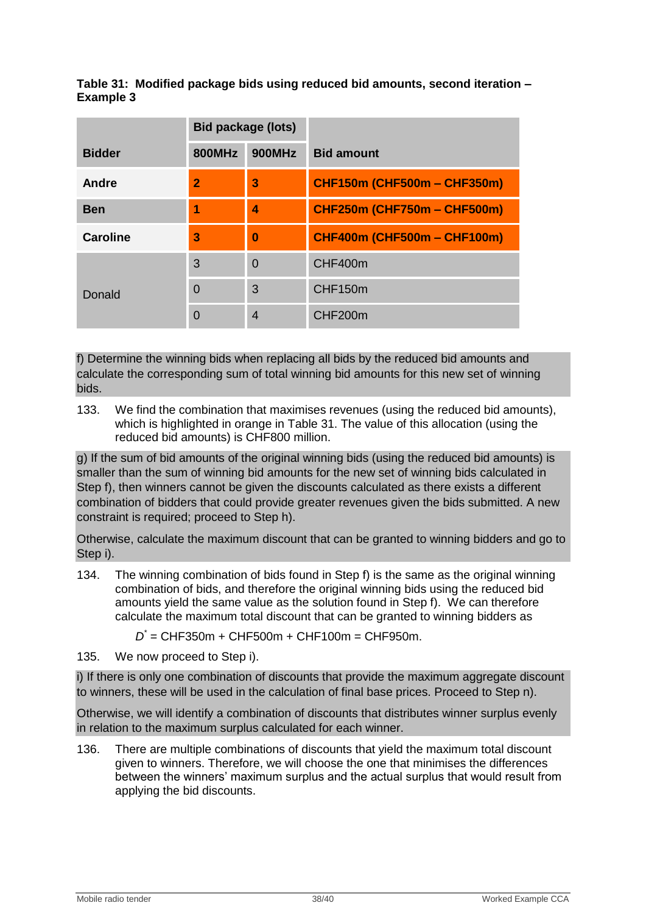# <span id="page-37-0"></span>**Table 31: Modified package bids using reduced bid amounts, second iteration – Example 3**

|                 | <b>Bid package (lots)</b> |                |                                    |
|-----------------|---------------------------|----------------|------------------------------------|
| <b>Bidder</b>   | <b>800MHz</b>             | <b>900MHz</b>  | <b>Bid amount</b>                  |
| Andre           | $\overline{\mathbf{2}}$   | 3              | <b>CHF150m (CHF500m - CHF350m)</b> |
| <b>Ben</b>      | 1                         | 4              | <b>CHF250m (CHF750m - CHF500m)</b> |
| <b>Caroline</b> | 3                         | $\bf{0}$       | <b>CHF400m (CHF500m - CHF100m)</b> |
| Donald          | 3                         | $\overline{0}$ | CHF400m                            |
|                 | $\overline{0}$            | 3              | CHF150m                            |
|                 | $\overline{0}$            | $\overline{4}$ | CHF200m                            |

f) Determine the winning bids when replacing all bids by the reduced bid amounts and calculate the corresponding sum of total winning bid amounts for this new set of winning bids.

133. We find the combination that maximises revenues (using the reduced bid amounts), which is highlighted in orange in [Table 31.](#page-37-0) The value of this allocation (using the reduced bid amounts) is CHF800 million.

g) If the sum of bid amounts of the original winning bids (using the reduced bid amounts) is smaller than the sum of winning bid amounts for the new set of winning bids calculated in Step f), then winners cannot be given the discounts calculated as there exists a different combination of bidders that could provide greater revenues given the bids submitted. A new constraint is required; proceed to Step h).

Otherwise, calculate the maximum discount that can be granted to winning bidders and go to Step i).

134. The winning combination of bids found in Step f) is the same as the original winning combination of bids, and therefore the original winning bids using the reduced bid amounts yield the same value as the solution found in Step f). We can therefore calculate the maximum total discount that can be granted to winning bidders as

*D \** = CHF350m + CHF500m + CHF100m = CHF950m.

135. We now proceed to Step i).

i) If there is only one combination of discounts that provide the maximum aggregate discount to winners, these will be used in the calculation of final base prices. Proceed to Step n).

Otherwise, we will identify a combination of discounts that distributes winner surplus evenly in relation to the maximum surplus calculated for each winner.

136. There are multiple combinations of discounts that yield the maximum total discount given to winners. Therefore, we will choose the one that minimises the differences between the winners' maximum surplus and the actual surplus that would result from applying the bid discounts.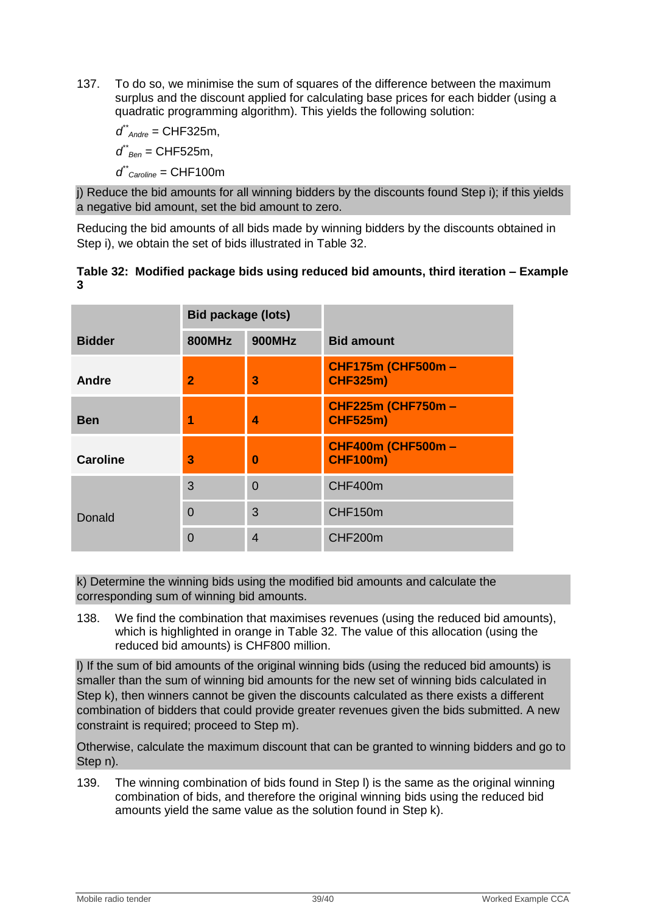137. To do so, we minimise the sum of squares of the difference between the maximum surplus and the discount applied for calculating base prices for each bidder (using a quadratic programming algorithm). This yields the following solution:

*d \*\* Andre* = CHF325m, *d \*\* Ben* = CHF525m, *d \*\* Caroline* = CHF100m

j) Reduce the bid amounts for all winning bidders by the discounts found Step i); if this yields a negative bid amount, set the bid amount to zero.

Reducing the bid amounts of all bids made by winning bidders by the discounts obtained in Step i), we obtain the set of bids illustrated in [Table 32.](#page-38-0)

# <span id="page-38-0"></span>**Table 32: Modified package bids using reduced bid amounts, third iteration – Example 3**

|                 | <b>Bid package (lots)</b> |                |                                              |
|-----------------|---------------------------|----------------|----------------------------------------------|
| <b>Bidder</b>   | <b>800MHz</b>             | <b>900MHz</b>  | <b>Bid amount</b>                            |
| <b>Andre</b>    | $\overline{2}$            | 3              | <b>CHF175m (CHF500m -</b><br><b>CHF325m)</b> |
| <b>Ben</b>      |                           | 4              | <b>CHF225m (CHF750m -</b><br><b>CHF525m)</b> |
| <b>Caroline</b> | 3                         | $\bf{0}$       | <b>CHF400m (CHF500m -</b><br><b>CHF100m)</b> |
|                 | 3                         | $\overline{0}$ | CHF400m                                      |
| Donald          | $\overline{0}$            | 3              | CHF150m                                      |
|                 | $\overline{0}$            | $\overline{4}$ | CHF200m                                      |

k) Determine the winning bids using the modified bid amounts and calculate the corresponding sum of winning bid amounts.

138. We find the combination that maximises revenues (using the reduced bid amounts), which is highlighted in orange in [Table 32.](#page-38-0) The value of this allocation (using the reduced bid amounts) is CHF800 million.

l) If the sum of bid amounts of the original winning bids (using the reduced bid amounts) is smaller than the sum of winning bid amounts for the new set of winning bids calculated in Step k), then winners cannot be given the discounts calculated as there exists a different combination of bidders that could provide greater revenues given the bids submitted. A new constraint is required; proceed to Step m).

Otherwise, calculate the maximum discount that can be granted to winning bidders and go to Step n).

139. The winning combination of bids found in Step l) is the same as the original winning combination of bids, and therefore the original winning bids using the reduced bid amounts yield the same value as the solution found in Step k).